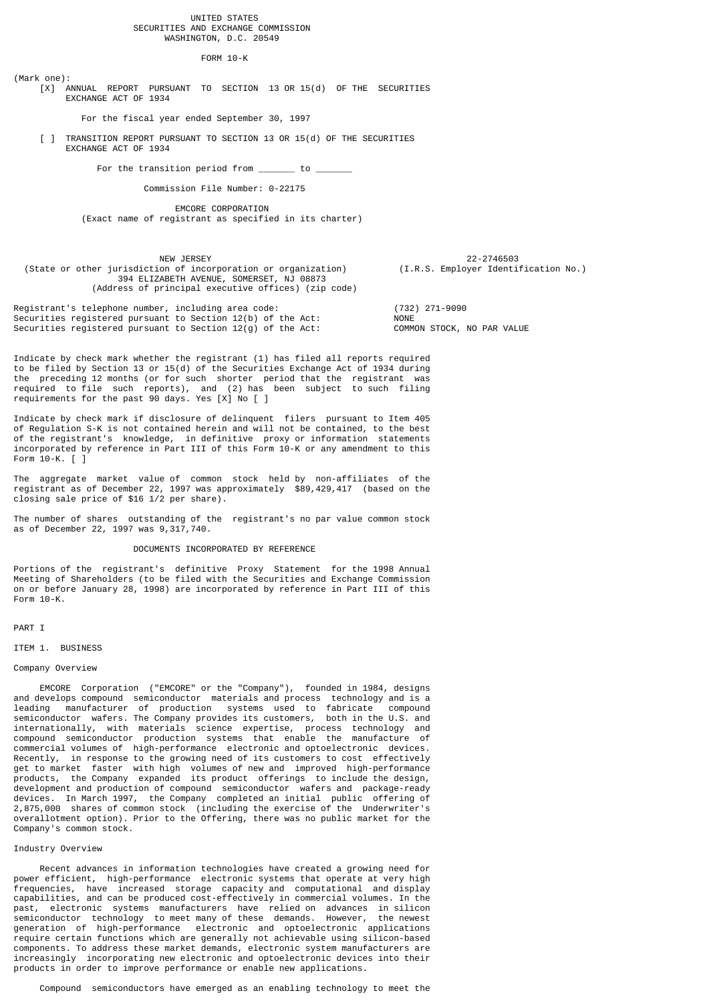#### UNITED STATES SECURITIES AND EXCHANGE COMMISSION WASHINGTON, D.C. 20549

FORM 10-K

(Mark one): [X] ANNUAL REPORT PURSUANT TO SECTION 13 OR 15(d) OF THE SECURITIES EXCHANGE ACT OF 1934

For the fiscal year ended September 30, 1997

[ ] TRANSITION REPORT PURSUANT TO SECTION 13 OR 15(d) OF THE SECURITIES EXCHANGE ACT OF 1934

For the transition period from  $\frac{\ }{\ }$  to  $\frac{\ }{\ }$ 

Commission File Number: 0-22175

 EMCORE CORPORATION (Exact name of registrant as specified in its charter)

 NEW JERSEY 22-2746503 (State or other jurisdiction of incorporation or organization) (I.R.S. Employer Identification No.) 394 ELIZABETH AVENUE, SOMERSET, NJ 08873 (Address of principal executive offices) (zip code)

Registrant's telephone number, including area code: (732) 271-9090 Securities registered pursuant to Section 12(b) of the Act: NONE Securities registered pursuant to Section 12(g) of the Act: COMMON STOCK, NO PAR VALUE

Indicate by check mark whether the registrant (1) has filed all reports required to be filed by Section 13 or 15(d) of the Securities Exchange Act of 1934 during the preceding 12 months (or for such shorter period that the registrant was required to file such reports), and (2) has been subject to such filing requirements for the past 90 days. Yes [X] No [ ]

Indicate by check mark if disclosure of delinquent filers pursuant to Item 405 of Regulation S-K is not contained herein and will not be contained, to the best of the registrant's knowledge, in definitive proxy or information statements incorporated by reference in Part III of this Form 10-K or any amendment to this Form 10-K. [ ]

The aggregate market value of common stock held by non-affiliates of the registrant as of December 22, 1997 was approximately \$89,429,417 (based on the closing sale price of \$16 1/2 per share).

The number of shares outstanding of the registrant's no par value common stock as of December 22, 1997 was 9,317,740.

#### DOCUMENTS INCORPORATED BY REFERENCE

Portions of the registrant's definitive Proxy Statement for the 1998 Annual Meeting of Shareholders (to be filed with the Securities and Exchange Commission on or before January 28, 1998) are incorporated by reference in Part III of this Form 10-K.

#### PART I

ITEM 1. BUSINESS

#### Company Overview

 EMCORE Corporation ("EMCORE" or the "Company"), founded in 1984, designs and develops compound semiconductor materials and process technology and is a leading manufacturer of production systems used to fabricate compound semiconductor wafers. The Company provides its customers, both in the U.S. and internationally, with materials science expertise, process technology and compound semiconductor production systems that enable the manufacture of commercial volumes of high-performance electronic and optoelectronic devices. Recently, in response to the growing need of its customers to cost effectively get to market faster with high volumes of new and improved high-performance products, the Company expanded its product offerings to include the design, development and production of compound semiconductor wafers and package-ready devices. In March 1997, the Company completed an initial public offering of 2,875,000 shares of common stock (including the exercise of the Underwriter's overallotment option). Prior to the Offering, there was no public market for the Company's common stock.

## Industry Overview

 Recent advances in information technologies have created a growing need for power efficient, high-performance electronic systems that operate at very high frequencies, have increased storage capacity and computational and display capabilities, and can be produced cost-effectively in commercial volumes. In the past, electronic systems manufacturers have relied on advances in silicon semiconductor technology to meet many of these demands. However, the newest generation of high-performance electronic and optoelectronic applications require certain functions which are generally not achievable using silicon-based components. To address these market demands, electronic system manufacturers are increasingly incorporating new electronic and optoelectronic devices into their products in order to improve performance or enable new applications.

Compound semiconductors have emerged as an enabling technology to meet the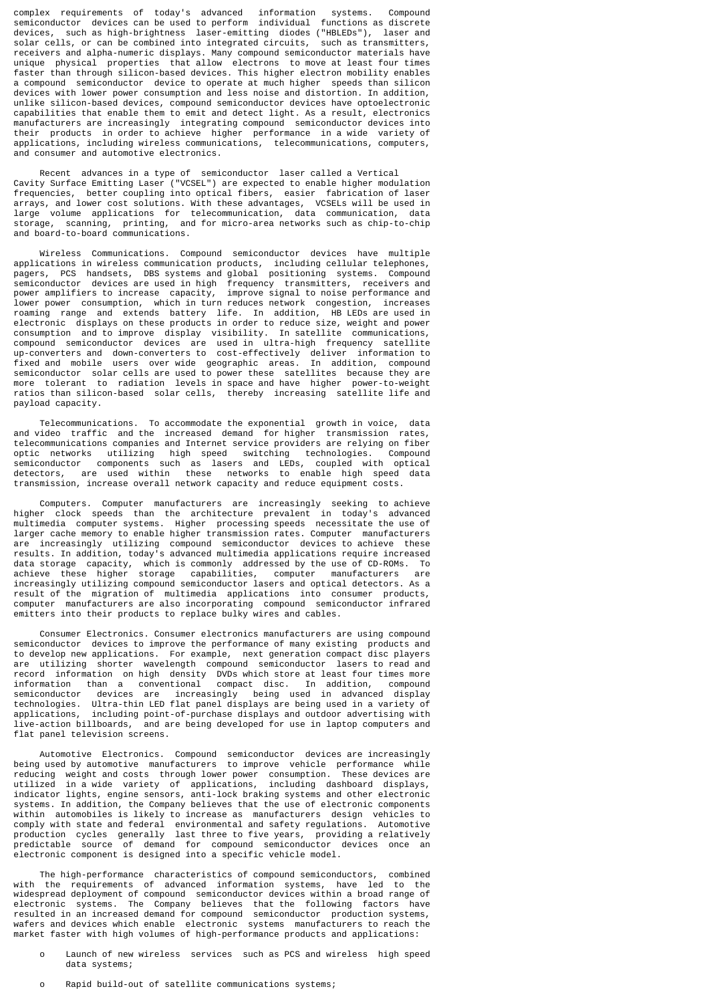complex requirements of today's advanced information systems. Compound semiconductor devices can be used to perform individual functions as discrete devices, such as high-brightness laser-emitting diodes ("HBLEDs"), laser and solar cells, or can be combined into integrated circuits, such as transmitters, receivers and alpha-numeric displays. Many compound semiconductor materials have unique physical properties that allow electrons to move at least four times faster than through silicon-based devices. This higher electron mobility enables a compound semiconductor device to operate at much higher speeds than silicon devices with lower power consumption and less noise and distortion. In addition, unlike silicon-based devices, compound semiconductor devices have optoelectronic capabilities that enable them to emit and detect light. As a result, electronics manufacturers are increasingly integrating compound semiconductor devices into their products in order to achieve higher performance in a wide variety of applications, including wireless communications, telecommunications, computers, and consumer and automotive electronics.

 Recent advances in a type of semiconductor laser called a Vertical Cavity Surface Emitting Laser ("VCSEL") are expected to enable higher modulation frequencies, better coupling into optical fibers, easier fabrication of laser arrays, and lower cost solutions. With these advantages, VCSELs will be used in volume applications for telecommunication, data communication, data storage, scanning, printing, and for micro-area networks such as chip-to-chip and board-to-board communications.

 Wireless Communications. Compound semiconductor devices have multiple applications in wireless communication products, including cellular telephones, pagers, PCS handsets, DBS systems and global positioning systems. Compound semiconductor devices are used in high frequency transmitters, receivers and power amplifiers to increase capacity, improve signal to noise performance and lower power consumption, which in turn reduces network congestion, increases roaming range and extends battery life. In addition, HB LEDs are used in electronic displays on these products in order to reduce size, weight and power consumption and to improve display visibility. In satellite communications, compound semiconductor devices are used in ultra-high frequency satellite up-converters and down-converters to cost-effectively deliver information to fixed and mobile users over wide geographic areas. In addition, compound semiconductor solar cells are used to power these satellites because they are more tolerant to radiation levels in space and have higher power-to-weight ratios than silicon-based solar cells, thereby increasing satellite life and payload capacity.

 Telecommunications. To accommodate the exponential growth in voice, data and video traffic and the increased demand for higher transmission rates, telecommunications companies and Internet service providers are relying on fiber optic networks utilizing high speed switching technologies. semiconductor components such as lasers and LEDs, coupled with optical detectors, are used within these networks to enable high speed data transmission, increase overall network capacity and reduce equipment costs.

 Computers. Computer manufacturers are increasingly seeking to achieve higher clock speeds than the architecture prevalent in today's advanced multimedia computer systems. Higher processing speeds necessitate the use of larger cache memory to enable higher transmission rates. Computer manufacturers are increasingly utilizing compound semiconductor devices to achieve these results. In addition, today's advanced multimedia applications require increased data storage capacity, which is commonly addressed by the use of CD-ROMs. To achieve these higher storage capabilities, computer manufacturers are increasingly utilizing compound semiconductor lasers and optical detectors. As a result of the migration of multimedia applications into consumer products, computer manufacturers are also incorporating compound semiconductor infrared emitters into their products to replace bulky wires and cables.

 Consumer Electronics. Consumer electronics manufacturers are using compound semiconductor devices to improve the performance of many existing products and to develop new applications. For example, next generation compact disc players are utilizing shorter wavelength compound semiconductor lasers to read and record information on high density DVDs which store at least four times more information than a conventional compact disc. In addition, compound semiconductor devices are increasingly being used in advanced display technologies. Ultra-thin LED flat panel displays are being used in a variety of applications, including point-of-purchase displays and outdoor advertising with live-action billboards, and are being developed for use in laptop computers and flat panel television screens.

 Automotive Electronics. Compound semiconductor devices are increasingly being used by automotive manufacturers to improve vehicle performance while reducing weight and costs through lower power consumption. These devices are utilized in a wide variety of applications, including dashboard displays, indicator lights, engine sensors, anti-lock braking systems and other electronic systems. In addition, the Company believes that the use of electronic components within automobiles is likely to increase as manufacturers design vehicles to comply with state and federal environmental and safety regulations. Automotive production cycles generally last three to five years, providing a relatively predictable source of demand for compound semiconductor devices once an electronic component is designed into a specific vehicle model.

 The high-performance characteristics of compound semiconductors, combined with the requirements of advanced information systems, have led to the widespread deployment of compound semiconductor devices within a broad range of electronic systems. The Company believes that the following factors have resulted in an increased demand for compound semiconductor production systems, wafers and devices which enable electronic systems manufacturers to reach the market faster with high volumes of high-performance products and applications:

- o Launch of new wireless services such as PCS and wireless high speed data systems;
- o Rapid build-out of satellite communications systems;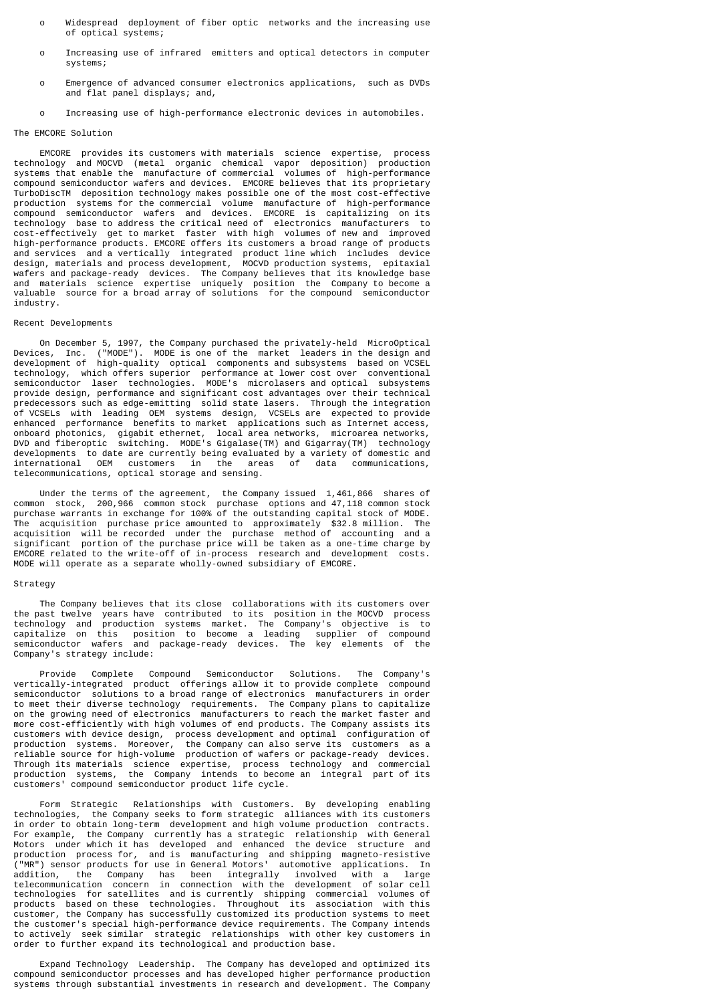- o Widespread deployment of fiber optic networks and the increasing use of optical systems;
- o Increasing use of infrared emitters and optical detectors in computer systems;
- o Emergence of advanced consumer electronics applications, such as DVDs and flat panel displays; and,
- o Increasing use of high-performance electronic devices in automobiles.

## The EMCORE Solution

 EMCORE provides its customers with materials science expertise, process technology and MOCVD (metal organic chemical vapor deposition) production systems that enable the manufacture of commercial volumes of high-performance compound semiconductor wafers and devices. EMCORE believes that its proprietary TurboDiscTM deposition technology makes possible one of the most cost-effective production systems for the commercial volume manufacture of high-performance compound semiconductor wafers and devices. EMCORE is capitalizing on its technology base to address the critical need of electronics manufacturers to cost-effectively get to market faster with high volumes of new and improved high-performance products. EMCORE offers its customers a broad range of products and services and a vertically integrated product line which includes device design, materials and process development, MOCVD production systems, epitaxial wafers and package-ready devices. The Company believes that its knowledge base and materials science expertise uniquely position the Company to become a valuable source for a broad array of solutions for the compound semiconductor industry.

#### Recent Developments

 On December 5, 1997, the Company purchased the privately-held MicroOptical Devices, Inc. ("MODE"). MODE is one of the market leaders in the design and development of high-quality optical components and subsystems based on VCSEL technology, which offers superior performance at lower cost over conventional semiconductor laser technologies. MODE's microlasers and optical subsystems provide design, performance and significant cost advantages over their technical predecessors such as edge-emitting solid state lasers. Through the integration of VCSELs with leading OEM systems design, VCSELs are expected to provide enhanced performance benefits to market applications such as Internet access, onboard photonics, gigabit ethernet, local area networks, microarea networks, DVD and fiberoptic switching. MODE's Gigalase(TM) and Gigarray(TM) technology developments to date are currently being evaluated by a variety of domestic and international OEM customers in the areas of data communications. OEM customers in the areas of data communications, telecommunications, optical storage and sensing.

 Under the terms of the agreement, the Company issued 1,461,866 shares of common stock, 200,966 common stock purchase options and 47,118 common stock purchase warrants in exchange for 100% of the outstanding capital stock of MODE. The acquisition purchase price amounted to approximately \$32.8 million. The acquisition will be recorded under the purchase method of accounting and a significant portion of the purchase price will be taken as a one-time charge by EMCORE related to the write-off of in-process research and development costs. MODE will operate as a separate wholly-owned subsidiary of EMCORE.

### **Strategy**

 The Company believes that its close collaborations with its customers over the past twelve years have contributed to its position in the MOCVD process technology and production systems market. The Company's objective is to capitalize on this position to become a leading supplier of compound semiconductor wafers and package-ready devices. The key elements of the Company's strategy include:

 Provide Complete Compound Semiconductor Solutions. The Company's vertically-integrated product offerings allow it to provide complete compound semiconductor solutions to a broad range of electronics manufacturers in order to meet their diverse technology requirements. The Company plans to capitalize on the growing need of electronics manufacturers to reach the market faster and more cost-efficiently with high volumes of end products. The Company assists its customers with device design, process development and optimal configuration of production systems. Moreover, the Company can also serve its customers as a reliable source for high-volume production of wafers or package-ready devices. Through its materials science expertise, process technology and commercial production systems, the Company intends to become an integral part of its customers' compound semiconductor product life cycle.

 Form Strategic Relationships with Customers. By developing enabling technologies, the Company seeks to form strategic alliances with its customers in order to obtain long-term development and high volume production contracts. For example, the Company currently has a strategic relationship with General Motors under which it has developed and enhanced the device structure and production process for, and is manufacturing and shipping magneto-resistive ("MR") sensor products for use in General Motors' automotive applications. In addition, the Company has been integrally involved with a large telecommunication concern in connection with the development of solar cell technologies for satellites and is currently shipping commercial volumes of products based on these technologies. Throughout its association with this customer, the Company has successfully customized its production systems to meet the customer's special high-performance device requirements. The Company intends to actively seek similar strategic relationships with other key customers in order to further expand its technological and production base.

 Expand Technology Leadership. The Company has developed and optimized its compound semiconductor processes and has developed higher performance production systems through substantial investments in research and development. The Company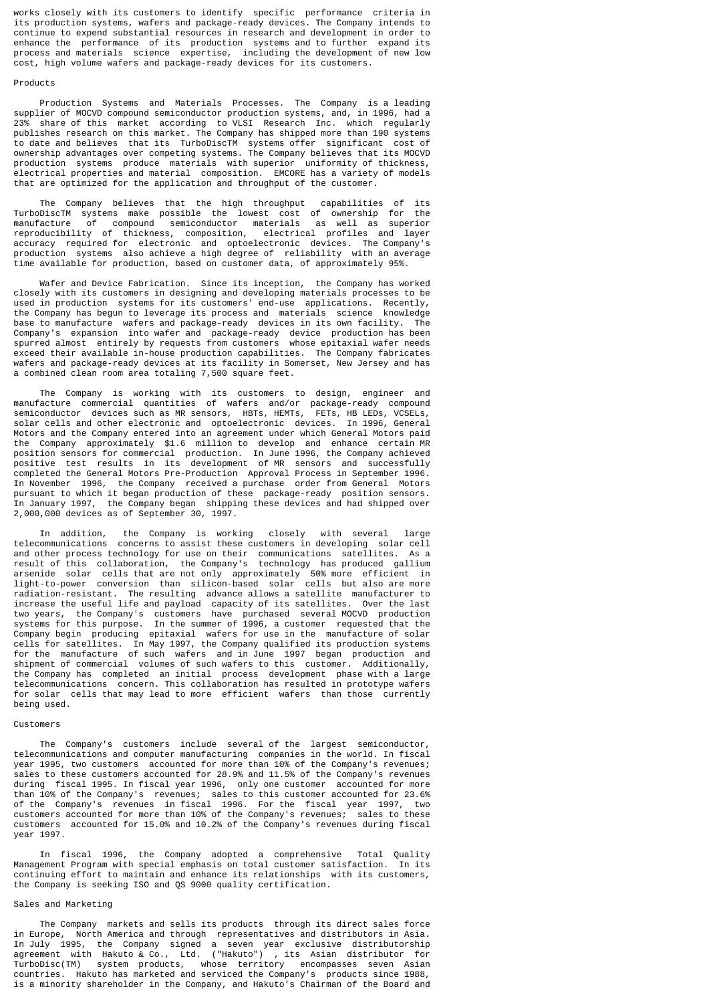works closely with its customers to identify specific performance criteria in its production systems, wafers and package-ready devices. The Company intends to continue to expend substantial resources in research and development in order to enhance the performance of its production systems and to further expand its process and materials science expertise, including the development of new low cost, high volume wafers and package-ready devices for its customers.

## Products

 Production Systems and Materials Processes. The Company is a leading supplier of MOCVD compound semiconductor production systems, and, in 1996, had a 23% share of this market according to VLSI Research Inc. which regularly publishes research on this market. The Company has shipped more than 190 systems to date and believes that its TurboDiscTM systems offer significant cost of ownership advantages over competing systems. The Company believes that its MOCVD production systems produce materials with superior uniformity of thickness, electrical properties and material composition. EMCORE has a variety of models that are optimized for the application and throughput of the customer.

 The Company believes that the high throughput capabilities of its TurboDiscTM systems make possible the lowest cost of ownership for the manufacture of compound semiconductor materials as well as superior reproducibility of thickness, composition, electrical profiles and layer accuracy required for electronic and optoelectronic devices. The Company's production systems also achieve a high degree of reliability with an average time available for production, based on customer data, of approximately 95%.

 Wafer and Device Fabrication. Since its inception, the Company has worked closely with its customers in designing and developing materials processes to be used in production systems for its customers' end-use applications. Recently, the Company has begun to leverage its process and materials science knowledge base to manufacture wafers and package-ready devices in its own facility. The Company's expansion into wafer and package-ready device production has been spurred almost entirely by requests from customers whose epitaxial wafer needs exceed their available in-house production capabilities. The Company fabricates wafers and package-ready devices at its facility in Somerset, New Jersey and has a combined clean room area totaling 7,500 square feet.

 The Company is working with its customers to design, engineer and manufacture commercial quantities of wafers and/or package-ready compound semiconductor devices such as MR sensors, HBTs, HEMTs, FETs, HB LEDs, VCSELs, solar cells and other electronic and optoelectronic devices. In 1996, General Motors and the Company entered into an agreement under which General Motors paid the Company approximately \$1.6 million to develop and enhance certain MR position sensors for commercial production. In June 1996, the Company achieved positive test results in its development of MR sensors and successfully completed the General Motors Pre-Production Approval Process in September 1996. In November 1996, the Company received a purchase order from General Motors pursuant to which it began production of these package-ready position sensors. In January 1997, the Company began shipping these devices and had shipped over 2,000,000 devices as of September 30, 1997.

 In addition, the Company is working closely with several large telecommunications concerns to assist these customers in developing solar cell and other process technology for use on their communications satellites. As a result of this collaboration, the Company's technology has produced gallium arsenide solar cells that are not only approximately 50% more efficient in light-to-power conversion than silicon-based solar cells but also are more radiation-resistant. The resulting advance allows a satellite manufacturer to increase the useful life and payload capacity of its satellites. Over the last two years, the Company's customers have purchased several MOCVD production systems for this purpose. In the summer of 1996, a customer requested that the Company begin producing epitaxial wafers for use in the manufacture of solar cells for satellites. In May 1997, the Company qualified its production systems for the manufacture of such wafers and in June 1997 began production and shipment of commercial volumes of such wafers to this customer. Additionally, the Company has completed an initial process development phase with a large telecommunications concern. This collaboration has resulted in prototype wafers for solar cells that may lead to more efficient wafers than those currently being used.

## Customers

 The Company's customers include several of the largest semiconductor, telecommunications and computer manufacturing companies in the world. In fiscal year 1995, two customers accounted for more than 10% of the Company's revenues; sales to these customers accounted for 28.9% and 11.5% of the Company's revenues during fiscal 1995. In fiscal year 1996, only one customer accounted for more than 10% of the Company's revenues; sales to this customer accounted for 23.6% of the Company's revenues in fiscal 1996. For the fiscal year 1997, two customers accounted for more than 10% of the Company's revenues; sales to these customers accounted for 15.0% and 10.2% of the Company's revenues during fiscal year 1997.

 In fiscal 1996, the Company adopted a comprehensive Total Quality Management Program with special emphasis on total customer satisfaction. In its continuing effort to maintain and enhance its relationships with its customers, the Company is seeking ISO and QS 9000 quality certification.

## Sales and Marketing

 The Company markets and sells its products through its direct sales force in Europe, North America and through representatives and distributors in Asia. In July 1995, the Company signed a seven year exclusive distributorship agreement with Hakuto & Co., Ltd. ("Hakuto") , its Asian distributor for TurboDisc(TM) system products, whose territory encompasses seven Asian countries. Hakuto has marketed and serviced the Company's products since 1988, is a minority shareholder in the Company, and Hakuto's Chairman of the Board and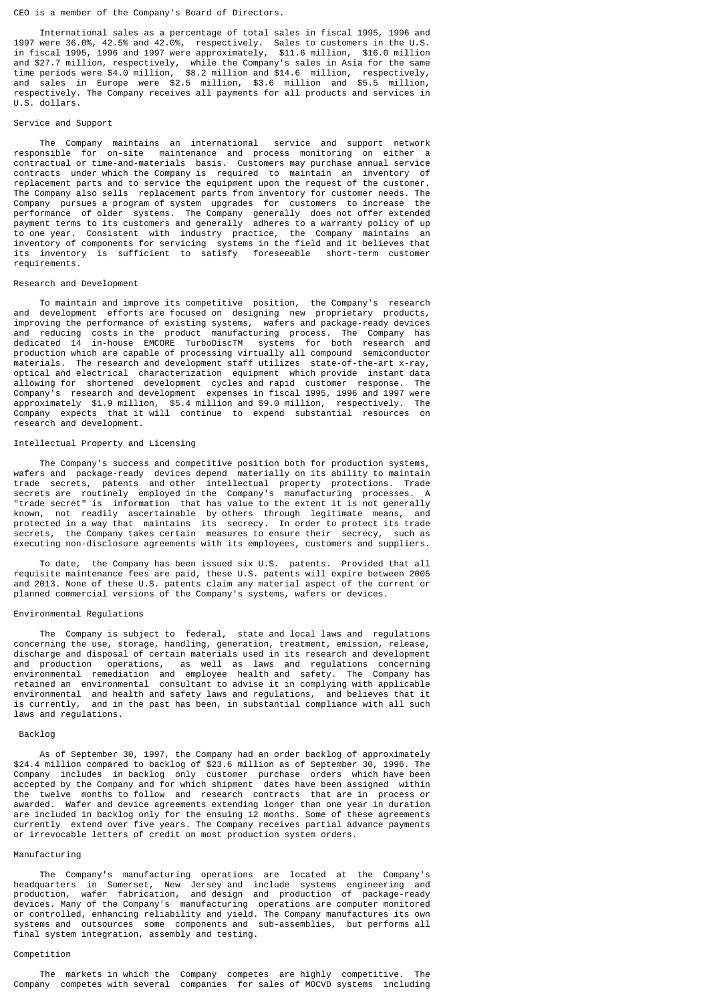## CEO is a member of the Company's Board of Directors.

 International sales as a percentage of total sales in fiscal 1995, 1996 and 1997 were 36.0%, 42.5% and 42.0%, respectively. Sales to customers in the U.S. in fiscal 1995, 1996 and 1997 were approximately, \$11.6 million, \$16.0 million and \$27.7 million, respectively, while the Company's sales in Asia for the same time periods were \$4.0 million, \$8.2 million and \$14.6 million, respectively, and sales in Europe were \$2.5 million, \$3.6 million and \$5.5 million, respectively. The Company receives all payments for all products and services in U.S. dollars.

## Service and Support

 The Company maintains an international service and support network responsible for on-site maintenance and process monitoring on either a contractual or time-and-materials basis. Customers may purchase annual service contracts under which the Company is required to maintain an inventory of replacement parts and to service the equipment upon the request of the customer. The Company also sells replacement parts from inventory for customer needs. The Company pursues a program of system upgrades for customers to increase the performance of older systems. The Company generally does not offer extended payment terms to its customers and generally adheres to a warranty policy of up to one year. Consistent with industry practice, the Company maintains an inventory of components for servicing systems in the field and it believes that its inventory is sufficient to satisfy foreseeable short-term customer requirements.

#### Research and Development

 To maintain and improve its competitive position, the Company's research and development efforts are focused on designing new proprietary products, improving the performance of existing systems, wafers and package-ready devices and reducing costs in the product manufacturing process. The Company has dedicated 14 in-house EMCORE TurboDiscTM systems for both research and production which are capable of processing virtually all compound semiconductor materials. The research and development staff utilizes state-of-the-art x-ray, optical and electrical characterization equipment which provide instant data allowing for shortened development cycles and rapid customer response. The Company's research and development expenses in fiscal 1995, 1996 and 1997 were approximately \$1.9 million, \$5.4 million and \$9.0 million, respectively. The Company expects that it will continue to expend substantial resources on company capaces chases

#### Intellectual Property and Licensing

 The Company's success and competitive position both for production systems, wafers and package-ready devices depend materially on its ability to maintain trade secrets, patents and other intellectual property protections. Trade secrets are routinely employed in the Company's manufacturing processes. A "trade secret" is information that has value to the extent it is not generally known, not readily ascertainable by others through legitimate means, and protected in a way that maintains its secrecy. In order to protect its trade secrets, the Company takes certain measures to ensure their secrecy, such as executing non-disclosure agreements with its employees, customers and suppliers.

 To date, the Company has been issued six U.S. patents. Provided that all requisite maintenance fees are paid, these U.S. patents will expire between 2005 and 2013. None of these U.S. patents claim any material aspect of the current or planned commercial versions of the Company's systems, wafers or devices.

#### Environmental Regulations

 The Company is subject to federal, state and local laws and regulations concerning the use, storage, handling, generation, treatment, emission, release, discharge and disposal of certain materials used in its research and development and production operations, as well as laws and regulations concerning environmental remediation and employee health and safety. The Company has retained an environmental consultant to advise it in complying with applicable environmental and health and safety laws and regulations, and believes that it is currently, and in the past has been, in substantial compliance with all such laws and regulations.

## Backlog

 As of September 30, 1997, the Company had an order backlog of approximately \$24.4 million compared to backlog of \$23.6 million as of September 30, 1996. The Company includes in backlog only customer purchase orders which have been accepted by the Company and for which shipment dates have been assigned within the twelve months to follow and research contracts that are in process or awarded. Wafer and device agreements extending longer than one year in duration are included in backlog only for the ensuing 12 months. Some of these agreements currently extend over five years. The Company receives partial advance payments or irrevocable letters of credit on most production system orders.

#### Manufacturing

 The Company's manufacturing operations are located at the Company's headquarters in Somerset, New Jersey and include systems engineering and production, wafer fabrication, and design and production of package-ready devices. Many of the Company's manufacturing operations are computer monitored or controlled, enhancing reliability and yield. The Company manufactures its own systems and outsources some components and sub-assemblies, but performs all final system integration, assembly and testing.

## Competition

 The markets in which the Company competes are highly competitive. The Company competes with several companies for sales of MOCVD systems including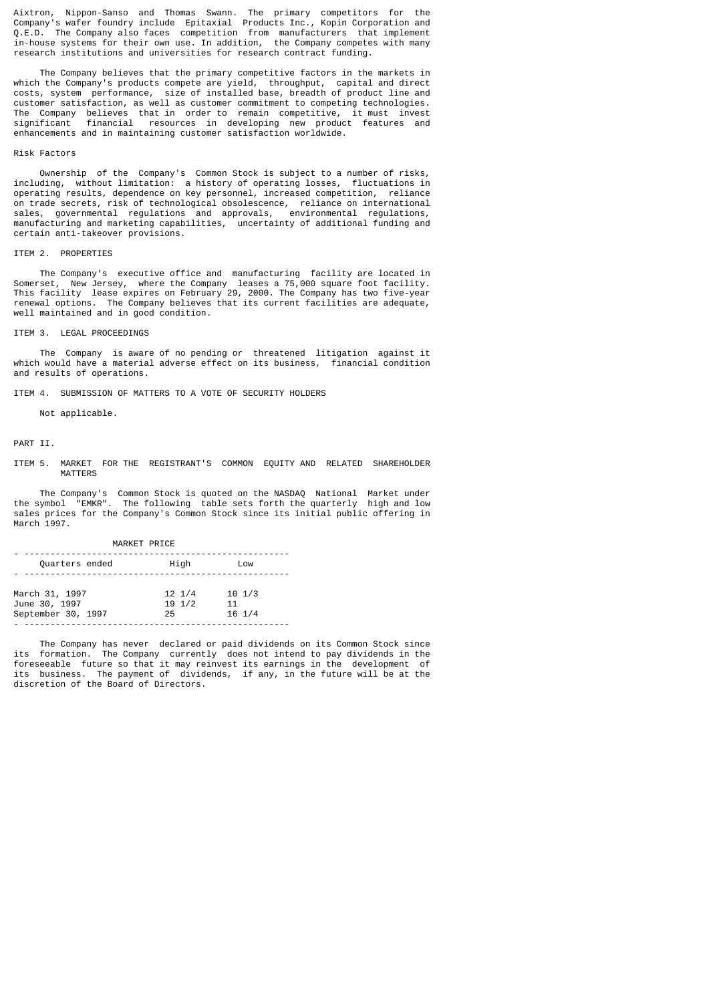Aixtron, Nippon-Sanso and Thomas Swann. The primary competitors for the Company's wafer foundry include Epitaxial Products Inc., Kopin Corporation and Q.E.D. The Company also faces competition from manufacturers that implement in-house systems for their own use. In addition, the Company competes with many research institutions and universities for research contract funding.

 The Company believes that the primary competitive factors in the markets in which the Company's products compete are yield, throughput, capital and direct costs, system performance, size of installed base, breadth of product line and customer satisfaction, as well as customer commitment to competing technologies. The Company believes that in order to remain competitive, it must invest significant financial resources in developing new product features and enhancements and in maintaining customer satisfaction worldwide.

## Risk Factors

 Ownership of the Company's Common Stock is subject to a number of risks, including, without limitation: a history of operating losses, fluctuations in operating results, dependence on key personnel, increased competition, reliance on trade secrets, risk of technological obsolescence, reliance on international sales, governmental regulations and approvals, environmental regulations, manufacturing and marketing capabilities, uncertainty of additional funding and certain anti-takeover provisions.

## ITEM 2. PROPERTIES

 The Company's executive office and manufacturing facility are located in Somerset, New Jersey, where the Company leases a 75,000 square foot facility. This facility lease expires on February 29, 2000. The Company has two five-year renewal options. The Company believes that its current facilities are adequate, well maintained and in good condition.

## ITEM 3. LEGAL PROCEEDINGS

 The Company is aware of no pending or threatened litigation against it which would have a material adverse effect on its business, financial condition and results of operations.

ITEM 4. SUBMISSION OF MATTERS TO A VOTE OF SECURITY HOLDERS

Not applicable.

## PART TT

ITEM 5. MARKET FOR THE REGISTRANT'S COMMON EQUITY AND RELATED SHAREHOLDER MATTERS

 The Company's Common Stock is quoted on the NASDAQ National Market under the symbol "EMKR". The following table sets forth the quarterly high and low sales prices for the Company's Common Stock since its initial public offering in March 1997.

| MARKET PRICE                                          |                                            |                                            |  |  |
|-------------------------------------------------------|--------------------------------------------|--------------------------------------------|--|--|
| Quarters ended                                        | High                                       | Low                                        |  |  |
| March 31, 1997<br>June 30, 1997<br>September 30, 1997 | $12 \frac{1}{4}$<br>$19 \frac{1}{2}$<br>25 | $10 \frac{1}{3}$<br>11<br>$16 \frac{1}{4}$ |  |  |

 The Company has never declared or paid dividends on its Common Stock since its formation. The Company currently does not intend to pay dividends in the foreseeable future so that it may reinvest its earnings in the development of its business. The payment of dividends, if any, in the future will be at the discretion of the Board of Directors.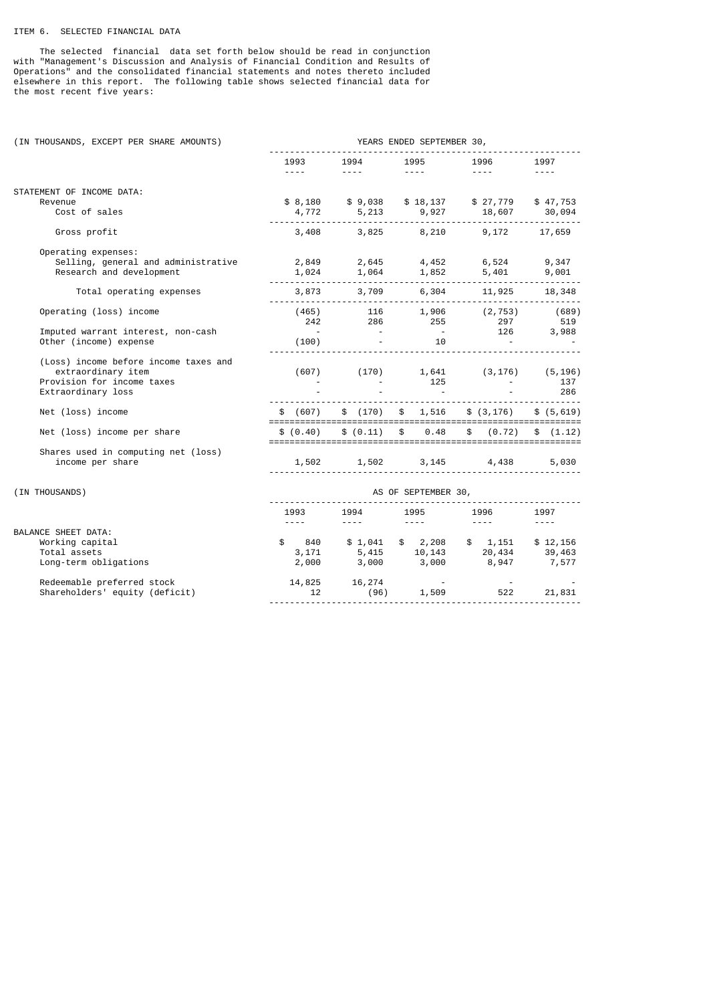# ITEM 6. SELECTED FINANCIAL DATA

 The selected financial data set forth below should be read in conjunction with "Management's Discussion and Analysis of Financial Condition and Results of Operations" and the consolidated financial statements and notes thereto included elsewhere in this report. The following table shows selected financial data for the most recent five years:

| (IN THOUSANDS, EXCEPT PER SHARE AMOUNTS) | YEARS ENDED SEPTEMBER 30,                                                                                                                                                                                                                                                                                                                                                                                                                                                          |                               |                             |                                                                         |                                     |  |
|------------------------------------------|------------------------------------------------------------------------------------------------------------------------------------------------------------------------------------------------------------------------------------------------------------------------------------------------------------------------------------------------------------------------------------------------------------------------------------------------------------------------------------|-------------------------------|-----------------------------|-------------------------------------------------------------------------|-------------------------------------|--|
|                                          | 1993<br>$\frac{1}{2} \left( \frac{1}{2} \right) \left( \frac{1}{2} \right) \left( \frac{1}{2} \right) \left( \frac{1}{2} \right) \left( \frac{1}{2} \right) \left( \frac{1}{2} \right) \left( \frac{1}{2} \right) \left( \frac{1}{2} \right) \left( \frac{1}{2} \right) \left( \frac{1}{2} \right) \left( \frac{1}{2} \right) \left( \frac{1}{2} \right) \left( \frac{1}{2} \right) \left( \frac{1}{2} \right) \left( \frac{1}{2} \right) \left( \frac{1}{2} \right) \left( \frac$ | 1994<br>and the second second | 1995<br>$- - - -$<br>$1500$ | 1996<br>$\sim$ $\sim$ $\sim$ $\sim$                                     | 1997<br>$\sim$ $\sim$ $\sim$ $\sim$ |  |
| STATEMENT OF INCOME DATA:                |                                                                                                                                                                                                                                                                                                                                                                                                                                                                                    |                               |                             |                                                                         |                                     |  |
| Revenue                                  |                                                                                                                                                                                                                                                                                                                                                                                                                                                                                    |                               |                             | \$8,180 \$9,038 \$18,137 \$27,779 \$47,753                              |                                     |  |
| Cost of sales                            |                                                                                                                                                                                                                                                                                                                                                                                                                                                                                    |                               |                             |                                                                         |                                     |  |
| Gross profit                             |                                                                                                                                                                                                                                                                                                                                                                                                                                                                                    |                               |                             | 3,408 3,825 8,210 9,172 17,659                                          |                                     |  |
| Operating expenses:                      |                                                                                                                                                                                                                                                                                                                                                                                                                                                                                    |                               |                             |                                                                         |                                     |  |
| Selling, general and administrative      |                                                                                                                                                                                                                                                                                                                                                                                                                                                                                    |                               |                             |                                                                         | 9,347                               |  |
| Research and development                 |                                                                                                                                                                                                                                                                                                                                                                                                                                                                                    |                               |                             |                                                                         | 9,001                               |  |
| Total operating expenses                 | .                                                                                                                                                                                                                                                                                                                                                                                                                                                                                  |                               |                             | $3,873$ $3,709$ $6,304$ $11,925$ $18,348$                               |                                     |  |
| Operating (loss) income                  |                                                                                                                                                                                                                                                                                                                                                                                                                                                                                    |                               |                             | $(1465)$ 116 1,906 (2,753) (689)<br>242 286 255 297 519<br>10 126 3,988 |                                     |  |
|                                          |                                                                                                                                                                                                                                                                                                                                                                                                                                                                                    |                               |                             |                                                                         |                                     |  |
| Imputed warrant interest, non-cash       |                                                                                                                                                                                                                                                                                                                                                                                                                                                                                    |                               |                             |                                                                         |                                     |  |
| Other (income) expense                   |                                                                                                                                                                                                                                                                                                                                                                                                                                                                                    |                               | <u></u>                     |                                                                         |                                     |  |
| (Loss) income before income taxes and    |                                                                                                                                                                                                                                                                                                                                                                                                                                                                                    |                               |                             |                                                                         |                                     |  |
| extraordinary item                       |                                                                                                                                                                                                                                                                                                                                                                                                                                                                                    |                               |                             | $(607)$ $(170)$ $1,641$ $(3,176)$ $(5,196)$                             |                                     |  |
| Provision for income taxes               |                                                                                                                                                                                                                                                                                                                                                                                                                                                                                    |                               | 125                         |                                                                         | 137                                 |  |
| Extraordinary loss                       |                                                                                                                                                                                                                                                                                                                                                                                                                                                                                    |                               | $\sim 100$ km s $^{-1}$     |                                                                         | 286                                 |  |
| Net (loss) income                        |                                                                                                                                                                                                                                                                                                                                                                                                                                                                                    |                               |                             | $$ (607) $ $ (170) $ $ 1,516 $ $ ($3,176) $ $ $ ($5,619)$               |                                     |  |
| Net (loss) income per share              | \$ (0.40)                                                                                                                                                                                                                                                                                                                                                                                                                                                                          |                               | \$ (0.11) \$ 0.48           | \$ (0.72)                                                               | \$(1.12)                            |  |
| Shares used in computing net (loss)      |                                                                                                                                                                                                                                                                                                                                                                                                                                                                                    |                               |                             |                                                                         |                                     |  |
| income per share                         |                                                                                                                                                                                                                                                                                                                                                                                                                                                                                    |                               |                             | 1,502 1,502 3,145 4,438 5,030                                           |                                     |  |
| (IN THOUSANDS)                           | AS OF SEPTEMBER 30,                                                                                                                                                                                                                                                                                                                                                                                                                                                                |                               |                             |                                                                         |                                     |  |
|                                          | 1993                                                                                                                                                                                                                                                                                                                                                                                                                                                                               |                               |                             | 1996                                                                    | 1997                                |  |
|                                          | $\frac{1}{2} \left( \frac{1}{2} \right) \left( \frac{1}{2} \right) \left( \frac{1}{2} \right) \left( \frac{1}{2} \right) \left( \frac{1}{2} \right) \left( \frac{1}{2} \right) \left( \frac{1}{2} \right) \left( \frac{1}{2} \right) \left( \frac{1}{2} \right) \left( \frac{1}{2} \right) \left( \frac{1}{2} \right) \left( \frac{1}{2} \right) \left( \frac{1}{2} \right) \left( \frac{1}{2} \right) \left( \frac{1}{2} \right) \left( \frac{1}{2} \right) \left( \frac$         |                               |                             | $\sim$ $\sim$ $\sim$ $\sim$ $\sim$                                      | $\sim$ $\sim$ $\sim$ $\sim$         |  |
| BALANCE SHEET DATA:                      |                                                                                                                                                                                                                                                                                                                                                                                                                                                                                    |                               |                             |                                                                         |                                     |  |
| Working capital                          |                                                                                                                                                                                                                                                                                                                                                                                                                                                                                    | \$3,041                       | \$2,208                     | $$1,151$ $$12,156$                                                      |                                     |  |
| Total assets                             |                                                                                                                                                                                                                                                                                                                                                                                                                                                                                    |                               |                             | $3,171$ $5,415$ $10,143$ $20,434$ $39,463$                              |                                     |  |
| Long-term obligations                    | 2,000                                                                                                                                                                                                                                                                                                                                                                                                                                                                              | 3,000                         |                             | 3,000 8,947 7,577                                                       |                                     |  |
| Redeemable preferred stock               |                                                                                                                                                                                                                                                                                                                                                                                                                                                                                    |                               |                             |                                                                         |                                     |  |
| Shareholders' equity (deficit)           |                                                                                                                                                                                                                                                                                                                                                                                                                                                                                    |                               |                             | 522                                                                     | 21,831                              |  |
|                                          |                                                                                                                                                                                                                                                                                                                                                                                                                                                                                    |                               |                             |                                                                         |                                     |  |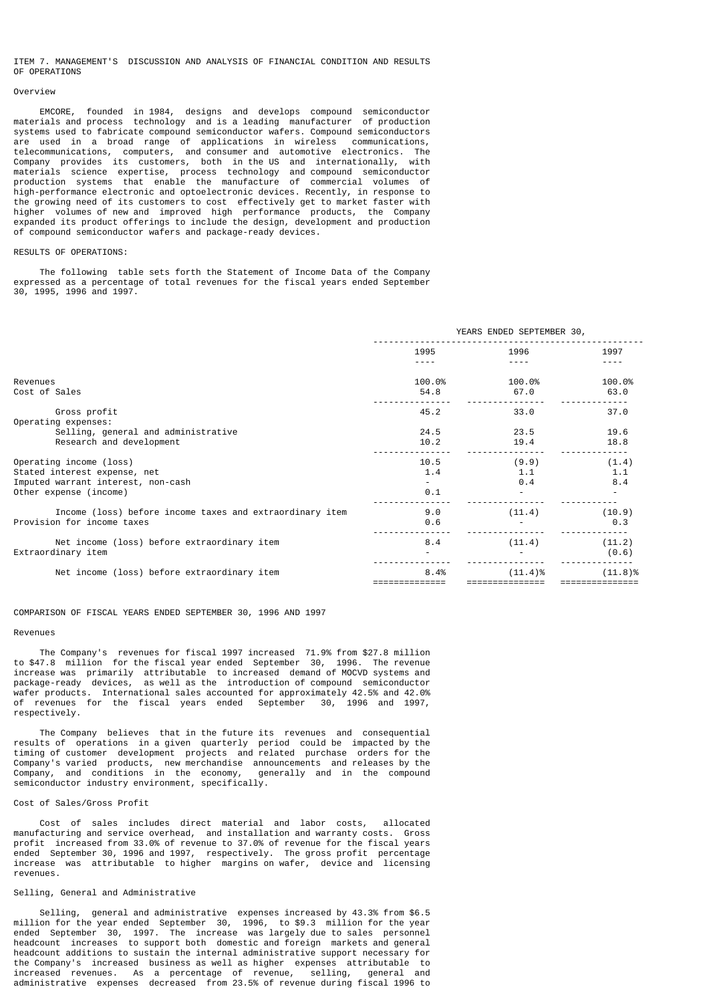ITEM 7. MANAGEMENT'S DISCUSSION AND ANALYSIS OF FINANCIAL CONDITION AND RESULTS OF OPERATIONS

#### Overview

 EMCORE, founded in 1984, designs and develops compound semiconductor materials and process technology and is a leading manufacturer of production systems used to fabricate compound semiconductor wafers. Compound semiconductors are used in a broad range of applications in wireless communications, telecommunications, computers, and consumer and automotive electronics. The Company provides its customers, both in the US and internationally, with materials science expertise, process technology and compound semiconductor production systems that enable the manufacture of commercial volumes of high-performance electronic and optoelectronic devices. Recently, in response to the growing need of its customers to cost effectively get to market faster with higher volumes of new and improved high performance products, the Company expanded its product offerings to include the design, development and production of compound semiconductor wafers and package-ready devices.

## RESULTS OF OPERATIONS:

 The following table sets forth the Statement of Income Data of the Company expressed as a percentage of total revenues for the fiscal years ended September 30, 1995, 1996 and 1997.

|                                                                                                                         | YEARS ENDED SEPTEMBER 30, |                     |                     |
|-------------------------------------------------------------------------------------------------------------------------|---------------------------|---------------------|---------------------|
|                                                                                                                         | 1995                      | 1996                | 1997                |
| Revenues<br>Cost of Sales                                                                                               | 100.0%<br>54.8            | 100.0%<br>67.0      | 100.0%<br>63.0      |
| Gross profit<br>Operating expenses:                                                                                     | 45.2                      | 33.0                | 37.0                |
| Selling, general and administrative<br>Research and development                                                         | 24.5<br>10.2              | 23.5<br>19.4        | 19.6<br>18.8        |
| Operating income (loss)<br>Stated interest expense, net<br>Imputed warrant interest, non-cash<br>Other expense (income) | 10.5<br>1.4<br>0.1        | (9.9)<br>1.1<br>0.4 | (1.4)<br>1.1<br>8.4 |
| Income (loss) before income taxes and extraordinary item<br>Provision for income taxes                                  | 9.0<br>0.6                | (11.4)              | (10.9)<br>0.3       |
| Net income (loss) before extraordinary item<br>Extraordinary item                                                       | 8.4                       | (11.4)              | (11.2)<br>(0.6)     |
| Net income (loss) before extraordinary item                                                                             | 8.4%                      | (11.4)%             | (11.8)%             |

#### COMPARISON OF FISCAL YEARS ENDED SEPTEMBER 30, 1996 AND 1997

#### Revenues

 The Company's revenues for fiscal 1997 increased 71.9% from \$27.8 million to \$47.8 million for the fiscal year ended September 30, 1996. The revenue increase was primarily attributable to increased demand of MOCVD systems and package-ready devices, as well as the introduction of compound semiconductor wafer products. International sales accounted for approximately 42.5% and 42.0% of revenues for the fiscal years ended September 30, respectively.

 The Company believes that in the future its revenues and consequential results of operations in a given quarterly period could be impacted by the timing of customer development projects and related purchase orders for the Company's varied products, new merchandise announcements and releases by the Company, and conditions in the economy, generally and in the compound semiconductor industry environment, specifically.

## Cost of Sales/Gross Profit

 Cost of sales includes direct material and labor costs, allocated manufacturing and service overhead, and installation and warranty costs. Gross profit increased from 33.0% of revenue to 37.0% of revenue for the fiscal years ended September 30, 1996 and 1997, respectively. The gross profit percentage increase was attributable to higher margins on wafer, device and licensing revenues.

## Selling, General and Administrative

 Selling, general and administrative expenses increased by 43.3% from \$6.5 million for the year ended September 30, 1996, to \$9.3 million for the year ended September 30, 1997. The increase was largely due to sales personnel headcount increases to support both domestic and foreign markets and general headcount additions to sustain the internal administrative support necessary for the Company's increased business as well as higher expenses attributable to increased revenues. As a percentage of revenue, selling, general and administrative expenses decreased from 23.5% of revenue during fiscal 1996 to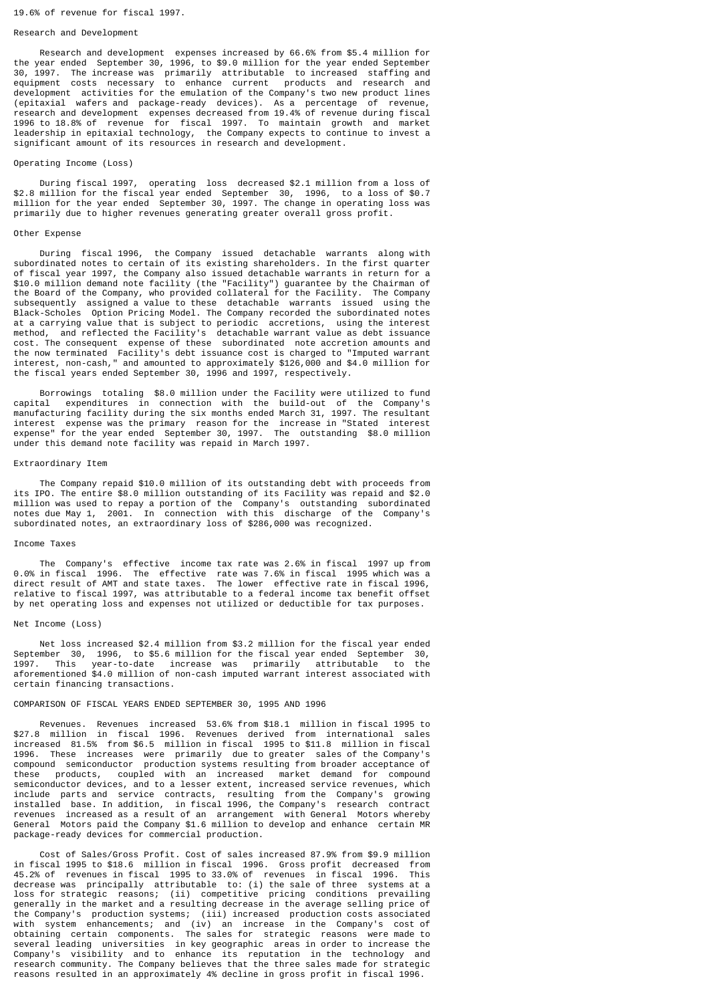## Research and Development

 Research and development expenses increased by 66.6% from \$5.4 million for the year ended September 30, 1996, to \$9.0 million for the year ended September 30, 1997. The increase was primarily attributable to increased staffing and equipment costs necessary to enhance current products and research and development activities for the emulation of the Company's two new product lines (epitaxial wafers and package-ready devices). As a percentage of revenue, research and development expenses decreased from 19.4% of revenue during fiscal 1996 to 18.8% of revenue for fiscal 1997. To maintain growth and market leadership in epitaxial technology, the Company expects to continue to invest a significant amount of its resources in research and development.

## Operating Income (Loss)

 During fiscal 1997, operating loss decreased \$2.1 million from a loss of \$2.8 million for the fiscal year ended September 30, 1996, to a loss of \$0.7 million for the year ended September 30, 1997. The change in operating loss was primarily due to higher revenues generating greater overall gross profit.

#### Other Expense

 During fiscal 1996, the Company issued detachable warrants along with subordinated notes to certain of its existing shareholders. In the first quarter of fiscal year 1997, the Company also issued detachable warrants in return for a \$10.0 million demand note facility (the "Facility") guarantee by the Chairman of the Board of the Company, who provided collateral for the Facility. The Company subsequently assigned a value to these detachable warrants issued using the Black-Scholes Option Pricing Model. The Company recorded the subordinated notes at a carrying value that is subject to periodic accretions, using the interest method, and reflected the Facility's detachable warrant value as debt issuance cost. The consequent expense of these subordinated note accretion amounts and the now terminated Facility's debt issuance cost is charged to "Imputed warrant interest, non-cash," and amounted to approximately \$126,000 and \$4.0 million for the fiscal years ended September 30, 1996 and 1997, respectively.

 Borrowings totaling \$8.0 million under the Facility were utilized to fund capital expenditures in connection with the build-out of the Company's manufacturing facility during the six months ended March 31, 1997. The resultant interest expense was the primary reason for the increase in "Stated interest expense" for the year ended September 30, 1997. The outstanding \$8.0 million under this demand note facility was repaid in March 1997.

# Extraordinary Item

 The Company repaid \$10.0 million of its outstanding debt with proceeds from its IPO. The entire \$8.0 million outstanding of its Facility was repaid and \$2.0 million was used to repay a portion of the Company's outstanding subordinated notes due May 1, 2001. In connection with this discharge of the Company's subordinated notes, an extraordinary loss of \$286,000 was recognized.

## Income Taxes

 The Company's effective income tax rate was 2.6% in fiscal 1997 up from 0.0% in fiscal 1996. The effective rate was 7.6% in fiscal 1995 which was a direct result of AMT and state taxes. The lower effective rate in fiscal 1996, relative to fiscal 1997, was attributable to a federal income tax benefit offset by net operating loss and expenses not utilized or deductible for tax purposes.

#### Net Income (Loss)

 Net loss increased \$2.4 million from \$3.2 million for the fiscal year ended September 30, 1996, to \$5.6 million for the fiscal year ended September 30, 1997. This year-to-date increase was primarily attributable to the aforementioned \$4.0 million of non-cash imputed warrant interest associated with certain financing transactions.

# COMPARISON OF FISCAL YEARS ENDED SEPTEMBER 30, 1995 AND 1996

 Revenues. Revenues increased 53.6% from \$18.1 million in fiscal 1995 to \$27.8 million in fiscal 1996. Revenues derived from international sales increased 81.5% from \$6.5 million in fiscal 1995 to \$11.8 million in fiscal 1996. These increases were primarily due to greater sales of the Company's compound semiconductor production systems resulting from broader acceptance of these products, coupled with an increased market demand for compound semiconductor devices, and to a lesser extent, increased service revenues, which include parts and service contracts, resulting from the Company's growing installed base. In addition, in fiscal 1996, the Company's research contract revenues increased as a result of an arrangement with General Motors whereby General Motors paid the Company \$1.6 million to develop and enhance certain MR package-ready devices for commercial production.

 Cost of Sales/Gross Profit. Cost of sales increased 87.9% from \$9.9 million in fiscal 1995 to \$18.6 million in fiscal 1996. Gross profit decreased from 45.2% of revenues in fiscal 1995 to 33.0% of revenues in fiscal 1996. This decrease was principally attributable to: (i) the sale of three systems at a loss for strategic reasons; (ii) competitive pricing conditions prevailing generally in the market and a resulting decrease in the average selling price of the Company's production systems; (iii) increased production costs associated with system enhancements; and (iv) an increase in the Company's cost of obtaining certain components. The sales for strategic reasons were made to several leading universities in key geographic areas in order to increase the Company's visibility and to enhance its reputation in the technology and research community. The Company believes that the three sales made for strategic reasons resulted in an approximately 4% decline in gross profit in fiscal 1996.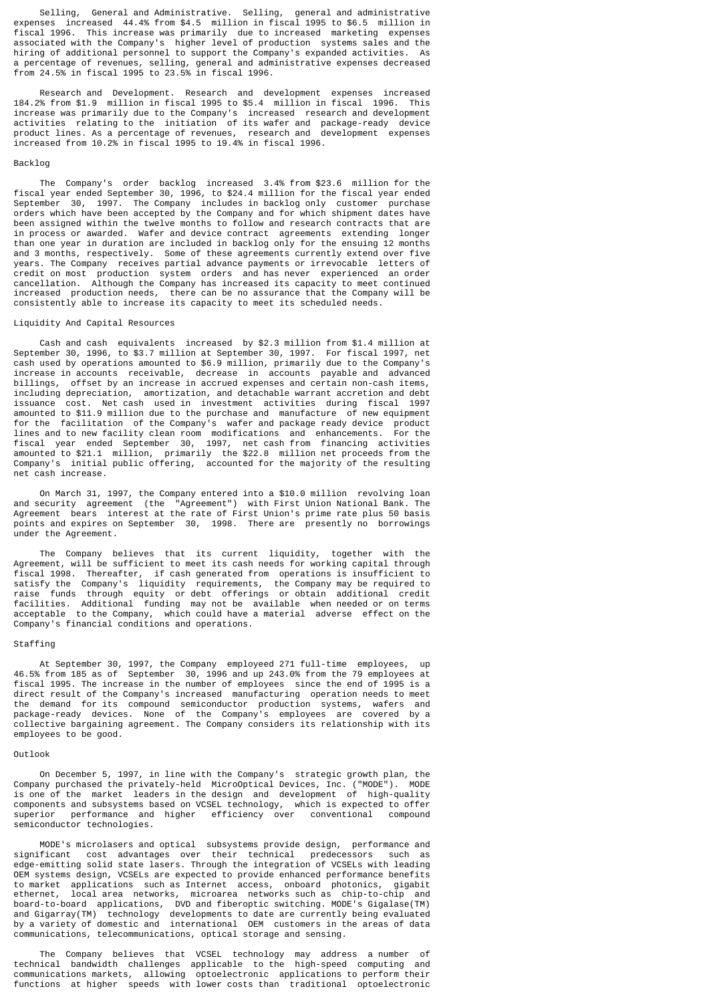Selling, General and Administrative. Selling, general and administrative expenses increased 44.4% from \$4.5 million in fiscal 1995 to \$6.5 million in fiscal 1996. This increase was primarily due to increased marketing expenses associated with the Company's higher level of production systems sales and the hiring of additional personnel to support the Company's expanded activities. As a percentage of revenues, selling, general and administrative expenses decreased from 24.5% in fiscal 1995 to 23.5% in fiscal 1996.

 Research and Development. Research and development expenses increased 184.2% from \$1.9 million in fiscal 1995 to \$5.4 million in fiscal 1996. This increase was primarily due to the Company's increased research and development activities relating to the initiation of its wafer and package-ready device product lines. As a percentage of revenues, research and development expenses increased from 10.2% in fiscal 1995 to 19.4% in fiscal 1996.

## Backlog

 The Company's order backlog increased 3.4% from \$23.6 million for the fiscal year ended September 30, 1996, to \$24.4 million for the fiscal year ended September 30, 1997. The Company includes in backlog only customer purchase orders which have been accepted by the Company and for which shipment dates have been assigned within the twelve months to follow and research contracts that are in process or awarded. Wafer and device contract agreements extending longer than one year in duration are included in backlog only for the ensuing 12 months and 3 months, respectively. Some of these agreements currently extend over five years. The Company receives partial advance payments or irrevocable letters of credit on most production system orders and has never experienced an order cancellation. Although the Company has increased its capacity to meet continued increased production needs, there can be no assurance that the Company will be consistently able to increase its capacity to meet its scheduled needs.

## Liquidity And Capital Resources

 Cash and cash equivalents increased by \$2.3 million from \$1.4 million at September 30, 1996, to \$3.7 million at September 30, 1997. For fiscal 1997, net cash used by operations amounted to \$6.9 million, primarily due to the Company's increase in accounts receivable, decrease in accounts payable and advanced billings, offset by an increase in accrued expenses and certain non-cash items, including depreciation, amortization, and detachable warrant accretion and debt issuance cost. Net cash used in investment activities during fiscal 1997 amounted to \$11.9 million due to the purchase and manufacture of new equipment for the facilitation of the Company's wafer and package ready device product lines and to new facility clean room modifications and enhancements. For the fiscal year ended September 30, 1997, net cash from financing activities amounted to \$21.1 million, primarily the \$22.8 million net proceeds from the Company's initial public offering, accounted for the majority of the resulting net cash increase.

 On March 31, 1997, the Company entered into a \$10.0 million revolving loan and security agreement (the "Agreement") with First Union National Bank. The Agreement bears interest at the rate of First Union's prime rate plus 50 basis points and expires on September 30, 1998. There are presently no borrowings under the Agreement.

 The Company believes that its current liquidity, together with the Agreement, will be sufficient to meet its cash needs for working capital through fiscal 1998. Thereafter, if cash generated from operations is insufficient to satisfy the Company's liquidity requirements, the Company may be required to raise funds through equity or debt offerings or obtain additional credit facilities. Additional funding may not be available when needed or on terms acceptable to the Company, which could have a material adverse effect on the Company's financial conditions and operations.

## Staffing

 At September 30, 1997, the Company employeed 271 full-time employees, up 46.5% from 185 as of September 30, 1996 and up 243.0% from the 79 employees at fiscal 1995. The increase in the number of employees since the end of 1995 is a direct result of the Company's increased manufacturing operation needs to meet the demand for its compound semiconductor production systems, wafers and package-ready devices. None of the Company's employees are covered by a collective bargaining agreement. The Company considers its relationship with its employees to be good.

#### Outlook

 On December 5, 1997, in line with the Company's strategic growth plan, the Company purchased the privately-held MicroOptical Devices, Inc. ("MODE"). MODE is one of the market leaders in the design and development of high-quality components and subsystems based on VCSEL technology, which is expected to offer superior performance and higher efficiency over conventional compound semiconductor technologies.

 MODE's microlasers and optical subsystems provide design, performance and significant cost advantages over their technical predecessors such as edge-emitting solid state lasers. Through the integration of VCSELs with leading OEM systems design, VCSELs are expected to provide enhanced performance benefits to market applications such as Internet access, onboard photonics, gigabit ethernet, local area networks, microarea networks such as chip-to-chip and board-to-board applications, DVD and fiberoptic switching. MODE's Gigalase(TM) and Gigarray(TM) technology developments to date are currently being evaluated by a variety of domestic and international OEM customers in the areas of data communications, telecommunications, optical storage and sensing.

 The Company believes that VCSEL technology may address a number of technical bandwidth challenges applicable to the high-speed computing and communications markets, allowing optoelectronic applications to perform their functions at higher speeds with lower costs than traditional optoelectronic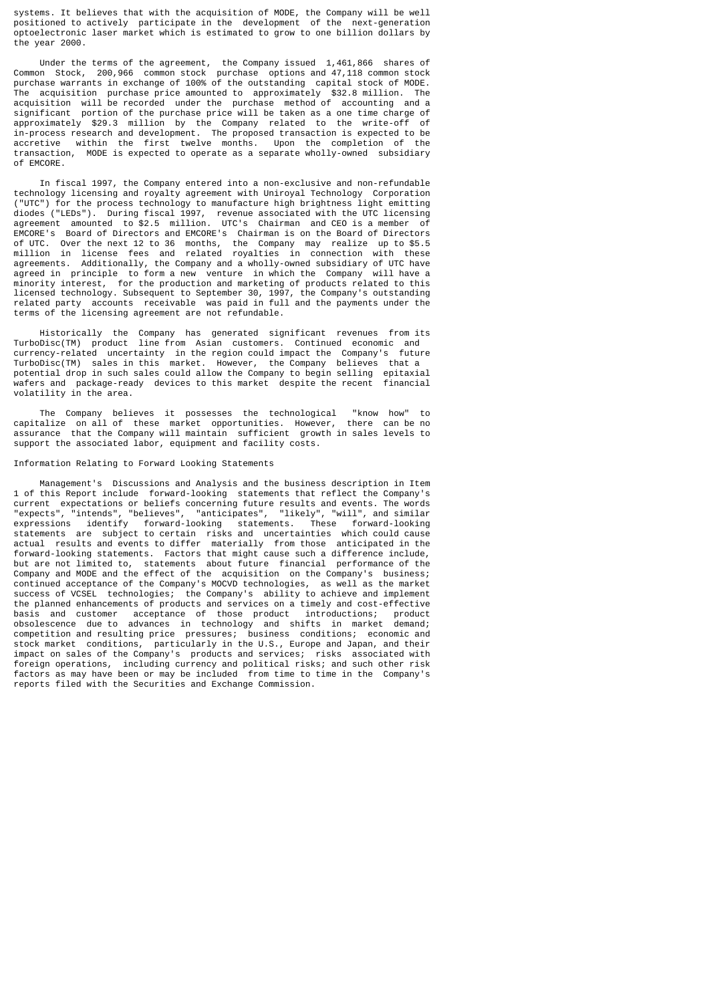systems. It believes that with the acquisition of MODE, the Company will be well positioned to actively participate in the development of the next-generation optoelectronic laser market which is estimated to grow to one billion dollars by the year 2000.

 Under the terms of the agreement, the Company issued 1,461,866 shares of Common Stock, 200,966 common stock purchase options and 47,118 common stock purchase warrants in exchange of 100% of the outstanding capital stock of MODE. The acquisition purchase price amounted to approximately \$32.8 million. The acquisition will be recorded under the purchase method of accounting and a significant portion of the purchase price will be taken as a one time charge of approximately \$29.3 million by the Company related to the write-off of in-process research and development. The proposed transaction is expected to be accretive within the first twelve months. Upon the completion of the transaction, MODE is expected to operate as a separate wholly-owned subsidiary of EMCORE.

 In fiscal 1997, the Company entered into a non-exclusive and non-refundable technology licensing and royalty agreement with Uniroyal Technology Corporation ("UTC") for the process technology to manufacture high brightness light emitting diodes ("LEDs"). During fiscal 1997, revenue associated with the UTC licensing agreement amounted to \$2.5 million. UTC's Chairman and CEO is a member of EMCORE's Board of Directors and EMCORE's Chairman is on the Board of Directors of UTC. Over the next 12 to 36 months, the Company may realize up to \$5.5 million in license fees and related royalties in connection with these agreements. Additionally, the Company and a wholly-owned subsidiary of UTC have agreed in principle to form a new venture in which the Company will have a minority interest, for the production and marketing of products related to this licensed technology. Subsequent to September 30, 1997, the Company's outstanding related party accounts receivable was paid in full and the payments under the terms of the licensing agreement are not refundable.

 Historically the Company has generated significant revenues from its TurboDisc(TM) product line from Asian customers. Continued economic and currency-related uncertainty in the region could impact the Company's future TurboDisc(TM) sales in this market. However, the Company believes that a potential drop in such sales could allow the Company to begin selling epitaxial wafers and package-ready devices to this market despite the recent financial volatility in the area.

 The Company believes it possesses the technological "know how" to capitalize on all of these market opportunities. However, there can be no assurance that the Company will maintain sufficient growth in sales levels to support the associated labor, equipment and facility costs.

## Information Relating to Forward Looking Statements

 Management's Discussions and Analysis and the business description in Item 1 of this Report include forward-looking statements that reflect the Company's current expectations or beliefs concerning future results and events. The words "expects", "intends", "believes", "anticipates", "likely", "will", and similar expressions identify forward-looking statements. These forward-looking statements are subject to certain risks and uncertainties which could cause actual results and events to differ materially from those anticipated in the forward-looking statements. Factors that might cause such a difference include, but are not limited to, statements about future financial performance of the Company and MODE and the effect of the acquisition on the Company's business; continued acceptance of the Company's MOCVD technologies, as well as the market success of VCSEL technologies; the Company's ability to achieve and implement the planned enhancements of products and services on a timely and cost-effective basis and customer acceptance of those product introductions; product obsolescence due to advances in technology and shifts in market demand; competition and resulting price pressures; business conditions; economic and stock market conditions, particularly in the U.S., Europe and Japan, and their impact on sales of the Company's products and services; risks associated with foreign operations, including currency and political risks; and such other risk factors as may have been or may be included from time to time in the Company's reports filed with the Securities and Exchange Commission.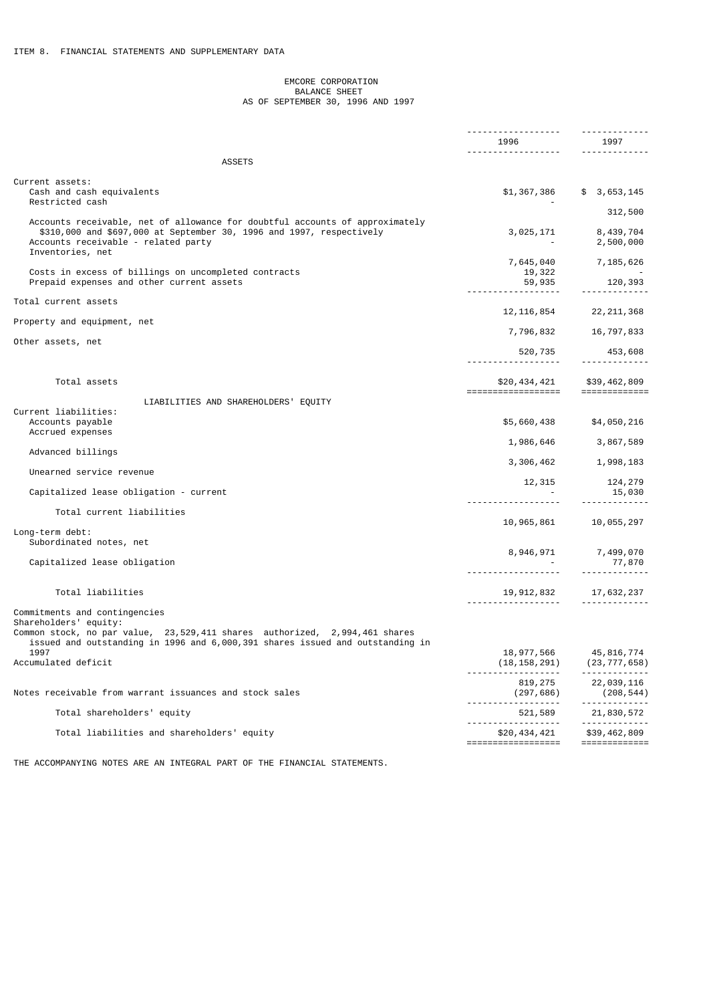## EMCORE CORPORATION BALANCE SHEET AS OF SEPTEMBER 30, 1996 AND 1997

|                                                                                                                                                                                                                          | 1996         | 1997                              |
|--------------------------------------------------------------------------------------------------------------------------------------------------------------------------------------------------------------------------|--------------|-----------------------------------|
| <b>ASSETS</b>                                                                                                                                                                                                            |              | <u> - - - - - - - - - - - - -</u> |
|                                                                                                                                                                                                                          |              |                                   |
| Current assets:<br>Cash and cash equivalents<br>Restricted cash                                                                                                                                                          |              | $$1,367,386$ $$3,653,145$         |
|                                                                                                                                                                                                                          |              | 312,500                           |
| Accounts receivable, net of allowance for doubtful accounts of approximately<br>\$310,000 and \$697,000 at September 30, 1996 and 1997, respectively<br>Accounts receivable - related party<br>Inventories, net          | 3,025,171    | 8,439,704<br>2,500,000            |
| Costs in excess of billings on uncompleted contracts<br>Prepaid expenses and other current assets                                                                                                                        | 7,645,040    | 7,185,626                         |
|                                                                                                                                                                                                                          |              |                                   |
| Total current assets                                                                                                                                                                                                     | 12, 116, 854 | 22, 211, 368                      |
| Property and equipment, net                                                                                                                                                                                              |              |                                   |
| Other assets, net                                                                                                                                                                                                        | 7,796,832    | 16,797,833                        |
|                                                                                                                                                                                                                          |              | $520, 735$ $453, 608$             |
| Total assets                                                                                                                                                                                                             |              | \$20,434,421 \$39,462,809         |
| LIABILITIES AND SHAREHOLDERS' EQUITY                                                                                                                                                                                     |              |                                   |
| Current liabilities:                                                                                                                                                                                                     |              |                                   |
| Accounts payable<br>Accrued expenses                                                                                                                                                                                     | \$5,660,438  | \$4,050,216                       |
|                                                                                                                                                                                                                          | 1,986,646    | 3,867,589                         |
| Advanced billings                                                                                                                                                                                                        |              | 3, 306, 462 1, 998, 183           |
| Unearned service revenue                                                                                                                                                                                                 |              |                                   |
| Capitalized lease obligation - current                                                                                                                                                                                   |              | $12,315$ $124,279$<br>$ 15,030$   |
| Total current liabilities                                                                                                                                                                                                |              |                                   |
|                                                                                                                                                                                                                          |              | 10,965,861 10,055,297             |
| Long-term debt:<br>Subordinated notes, net                                                                                                                                                                               |              |                                   |
|                                                                                                                                                                                                                          |              | 8,946,971 7,499,070               |
| Capitalized lease obligation                                                                                                                                                                                             | <u>.</u>     | 77,870                            |
| Total liabilities                                                                                                                                                                                                        |              | 19, 912, 832 17, 632, 237         |
|                                                                                                                                                                                                                          |              |                                   |
| Commitments and contingencies<br>Shareholders' equity:<br>Common stock, no par value,  23,529,411 shares  authorized,  2,994,461 shares<br>issued and outstanding in 1996 and 6,000,391 shares issued and outstanding in |              |                                   |
| 1997                                                                                                                                                                                                                     |              | 18,977,566 45,816,774             |
| Accumulated deficit                                                                                                                                                                                                      |              | $(18, 158, 291)$ $(23, 777, 658)$ |
|                                                                                                                                                                                                                          | 819,275      | 22,039,116                        |
| Notes receivable from warrant issuances and stock sales                                                                                                                                                                  | (297,686)    | (208, 544)                        |
| Total shareholders' equity                                                                                                                                                                                               | 521,589      | 21,830,572<br>.                   |
|                                                                                                                                                                                                                          |              |                                   |

THE ACCOMPANYING NOTES ARE AN INTEGRAL PART OF THE FINANCIAL STATEMENTS.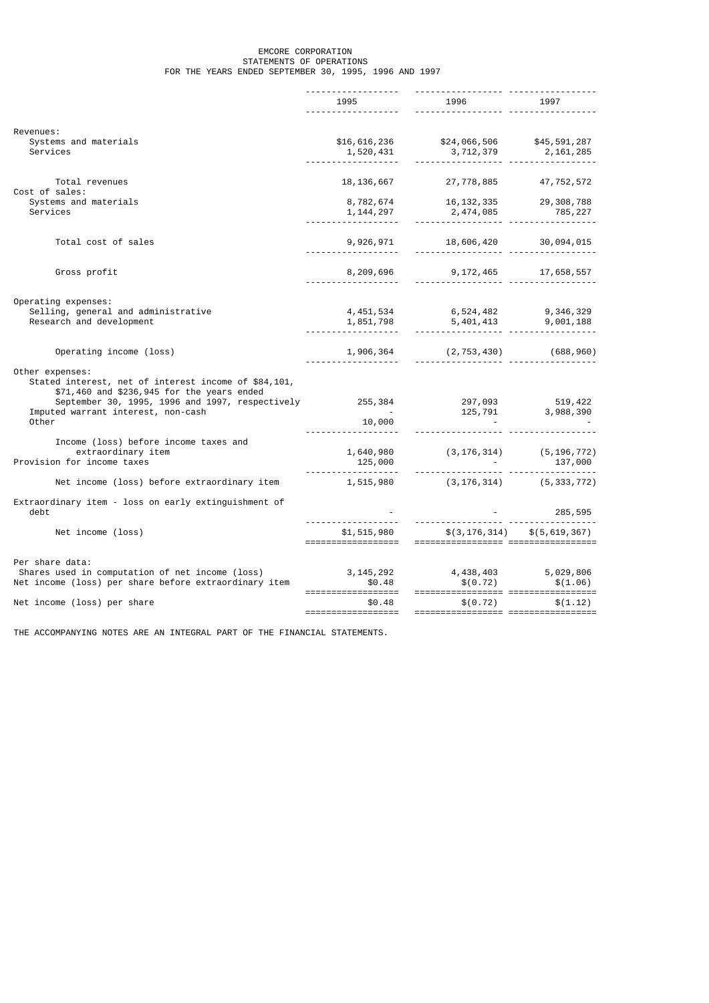## EMCORE CORPORATION STATEMENTS OF OPERATIONS FOR THE YEARS ENDED SEPTEMBER 30, 1995, 1996 AND 1997

|                                                                    | 1995 (1995)                                              |                                                                                                                                                             |                                  |
|--------------------------------------------------------------------|----------------------------------------------------------|-------------------------------------------------------------------------------------------------------------------------------------------------------------|----------------------------------|
|                                                                    |                                                          |                                                                                                                                                             |                                  |
| Revenues:                                                          |                                                          |                                                                                                                                                             |                                  |
| Systems and materials                                              | \$16,616,236                                             | \$24,066,506 \$45,591,287                                                                                                                                   |                                  |
| Services                                                           | 1,520,431                                                |                                                                                                                                                             |                                  |
|                                                                    |                                                          |                                                                                                                                                             |                                  |
| Total revenues                                                     | 18, 136, 667                                             | 27,778,885                                                                                                                                                  | 47,752,572                       |
| Cost of sales:                                                     |                                                          |                                                                                                                                                             |                                  |
| Systems and materials                                              | 8,782,674                                                | 16, 132, 335 29, 308, 788                                                                                                                                   |                                  |
| Services                                                           |                                                          |                                                                                                                                                             |                                  |
|                                                                    | 1, 144, 297<br>----------                                |                                                                                                                                                             |                                  |
| Total cost of sales                                                |                                                          |                                                                                                                                                             |                                  |
|                                                                    | 9,926,971<br>.                                           | $18,606,420$ $30,094,015$                                                                                                                                   |                                  |
|                                                                    |                                                          |                                                                                                                                                             |                                  |
| Gross profit                                                       | 8,209,696                                                | $9,172,465$ $17,658,557$                                                                                                                                    |                                  |
|                                                                    |                                                          |                                                                                                                                                             |                                  |
| Operating expenses:                                                |                                                          |                                                                                                                                                             |                                  |
| Selling, general and administrative                                | 4,451,534                                                | 6,524,482 9,346,329                                                                                                                                         |                                  |
| Research and development                                           |                                                          | $1,851,798$<br>$-1,851,798$<br>$-1,851,798$<br>$-1,951,798$<br>$-1,951,798$<br>$-1,951,798$<br>$-1,951,798$<br>$-1,951,798$<br>$-1,951,798$<br>$-1,951,798$ |                                  |
|                                                                    |                                                          |                                                                                                                                                             |                                  |
| Operating income (loss)                                            | 1,906,364<br>.                                           | $(2, 753, 430)$ (688,960)                                                                                                                                   |                                  |
| Other expenses:                                                    |                                                          |                                                                                                                                                             |                                  |
| Stated interest, net of interest income of \$84,101,               |                                                          |                                                                                                                                                             |                                  |
| \$71,460 and \$236,945 for the years ended                         |                                                          |                                                                                                                                                             |                                  |
| September 30, 1995, 1996 and 1997, respectively                    |                                                          | 255, 384 297, 093 519, 422                                                                                                                                  |                                  |
| Imputed warrant interest, non-cash                                 | $\alpha$ , $\beta$ , $\alpha$ , $\beta$                  |                                                                                                                                                             | $125,791$ $3,988,390$            |
| Other                                                              | 10,000                                                   |                                                                                                                                                             |                                  |
| Income (loss) before income taxes and                              |                                                          |                                                                                                                                                             |                                  |
| extraordinary item                                                 | 1,640,980                                                | $(3, 176, 314)$ $(5, 196, 772)$                                                                                                                             |                                  |
| Provision for income taxes                                         | 125,000                                                  |                                                                                                                                                             |                                  |
| Net income (loss) before extraordinary item                        | <u> - - - - - - - - - - - - - - - - - -</u><br>1,515,980 |                                                                                                                                                             | $(3, 176, 314)$ $(5, 333, 772)$  |
|                                                                    |                                                          |                                                                                                                                                             |                                  |
| Extraordinary item - loss on early extinguishment of               |                                                          |                                                                                                                                                             |                                  |
| debt                                                               |                                                          |                                                                                                                                                             | - 285,595<br>------------------- |
| Net income (loss)                                                  |                                                          | $$1,515,980$ $$(3,176,314)$ $$(5,619,367)$                                                                                                                  |                                  |
|                                                                    |                                                          |                                                                                                                                                             |                                  |
|                                                                    |                                                          |                                                                                                                                                             |                                  |
| Per share data:<br>Shares used in computation of net income (loss) |                                                          |                                                                                                                                                             |                                  |
| Net income (loss) per share before extraordinary item              |                                                          | $3, 145, 292$<br>$4, 438, 403$<br>$5, 029, 806$<br>$60.72$<br>$6(1.06)$                                                                                     |                                  |
|                                                                    |                                                          |                                                                                                                                                             |                                  |
| Net income (loss) per share                                        | \$0.48                                                   | \$(0.72)                                                                                                                                                    | \$(1.12)                         |
|                                                                    |                                                          |                                                                                                                                                             |                                  |

THE ACCOMPANYING NOTES ARE AN INTEGRAL PART OF THE FINANCIAL STATEMENTS.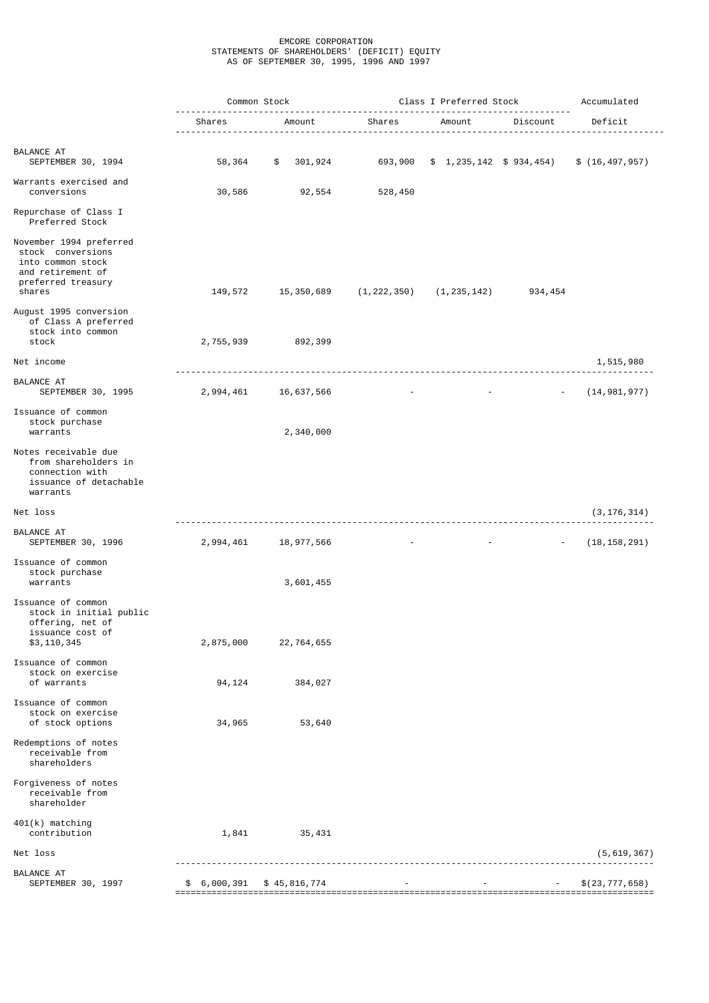## EMCORE CORPORATION STATEMENTS OF SHAREHOLDERS' (DEFICIT) EQUITY AS OF SEPTEMBER 30, 1995, 1996 AND 1997

|                                                                                                                        |                   | Common Stock       | Class I Preferred Stock<br><u></u> .     |                                                        | Accumulated |                  |
|------------------------------------------------------------------------------------------------------------------------|-------------------|--------------------|------------------------------------------|--------------------------------------------------------|-------------|------------------|
|                                                                                                                        | Shares            | Amount             | Shares                                   | Amount                                                 | Discount    | Deficit          |
| BALANCE AT<br>SEPTEMBER 30, 1994                                                                                       | 58,364            | \$<br>301,924      | 693,900                                  | $$1,235,142 \$934,454)$                                |             | \$(16, 497, 957) |
| Warrants exercised and<br>conversions                                                                                  | 30,586            | 92,554             | 528,450                                  |                                                        |             |                  |
| Repurchase of Class I<br>Preferred Stock                                                                               |                   |                    |                                          |                                                        |             |                  |
| November 1994 preferred<br>stock conversions<br>into common stock<br>and retirement of<br>preferred treasury<br>shares |                   | 149,572 15,350,689 | $(1, 222, 350)$ $(1, 235, 142)$ 934, 454 |                                                        |             |                  |
| August 1995 conversion<br>of Class A preferred<br>stock into common<br>stock                                           |                   | 2,755,939 892,399  |                                          |                                                        |             |                  |
| Net income                                                                                                             |                   |                    |                                          |                                                        |             | 1,515,980        |
| BALANCE AT<br>SEPTEMBER 30, 1995                                                                                       | 2,994,461         | 16,637,566         |                                          | with the control of the control of the con-            |             | (14, 981, 977)   |
| Issuance of common<br>stock purchase<br>warrants                                                                       |                   | 2,340,000          |                                          |                                                        |             |                  |
| Notes receivable due<br>from shareholders in<br>connection with<br>issuance of detachable<br>warrants                  |                   |                    |                                          |                                                        |             |                  |
| Net loss                                                                                                               |                   |                    |                                          |                                                        |             | (3, 176, 314)    |
| BALANCE AT<br>SEPTEMBER 30, 1996                                                                                       | 2,994,461         | 18,977,566         |                                          | 100 - Antonio Alemania (1985), Antonio Alemania (1986) | $\sim$      | (18, 158, 291)   |
| Issuance of common<br>stock purchase<br>warrants                                                                       |                   | 3,601,455          |                                          |                                                        |             |                  |
| Issuance of common<br>stock in initial public<br>offering, net of<br>issuance cost of                                  |                   |                    |                                          |                                                        |             |                  |
| \$3,110,345<br>Issuance of common<br>stock on exercise                                                                 | 2,875,000         | 22,764,655         |                                          |                                                        |             |                  |
| of warrants<br>Issuance of common<br>stock on exercise<br>of stock options                                             | 94, 124<br>34,965 | 384,027<br>53,640  |                                          |                                                        |             |                  |
| Redemptions of notes<br>receivable from<br>shareholders                                                                |                   |                    |                                          |                                                        |             |                  |
| Forgiveness of notes<br>receivable from<br>shareholder                                                                 |                   |                    |                                          |                                                        |             |                  |
| $401(k)$ matching<br>contribution                                                                                      | 1,841             | 35,431             |                                          |                                                        |             |                  |
| Net loss                                                                                                               |                   |                    |                                          |                                                        |             | (5,619,367)      |
| <b>BALANCE AT</b><br>SEPTEMBER 30, 1997                                                                                | \$ 6,000,391      | \$45,816,774       |                                          |                                                        |             | \$(23, 777, 658) |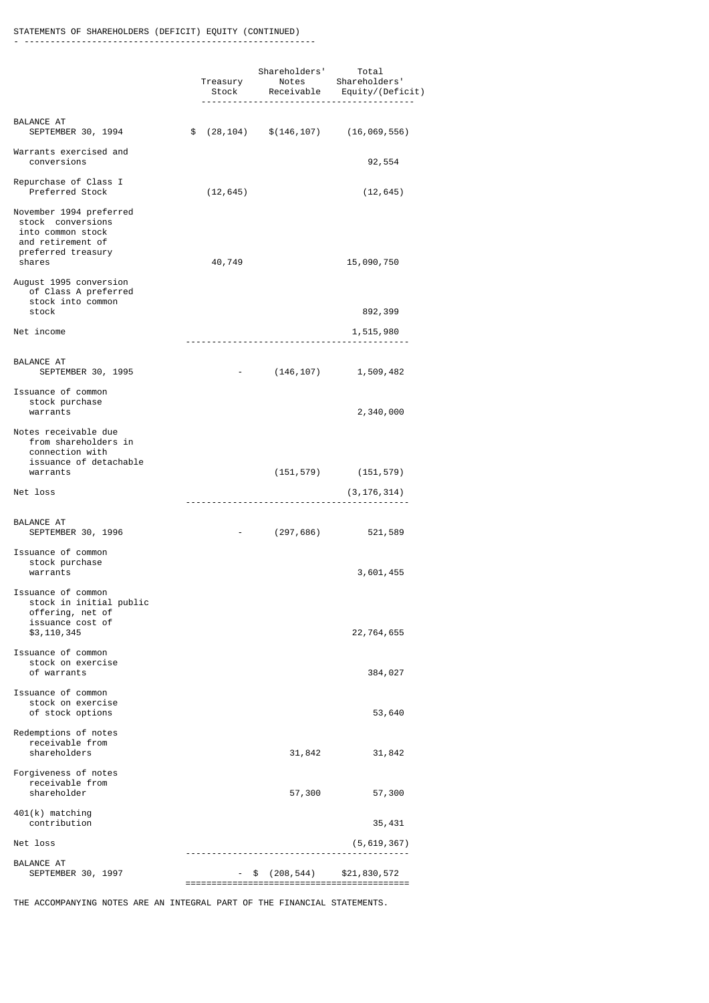#### STATEMENTS OF SHAREHOLDERS (DEFICIT) EQUITY (CONTINUED) - --------------------------------------------------------

|                                                                                                                        | Treasury             | Shareholders'                    | Total<br>Notes Shareholders'<br>Stock Receivable Equity/(Deficit) |
|------------------------------------------------------------------------------------------------------------------------|----------------------|----------------------------------|-------------------------------------------------------------------|
| BALANCE AT<br>SEPTEMBER 30, 1994                                                                                       | \$                   |                                  | $(28, 104)$ \$ $(146, 107)$ $(16, 069, 556)$                      |
| Warrants exercised and<br>conversions                                                                                  |                      |                                  | 92,554                                                            |
| Repurchase of Class I<br>Preferred Stock                                                                               | (12, 645)            |                                  | (12, 645)                                                         |
| November 1994 preferred<br>stock conversions<br>into common stock<br>and retirement of<br>preferred treasury<br>shares | 40,749               |                                  | 15,090,750                                                        |
| August 1995 conversion<br>of Class A preferred<br>stock into common<br>stock                                           |                      |                                  | 892,399                                                           |
| Net income                                                                                                             |                      |                                  | 1,515,980                                                         |
| BALANCE AT<br>SEPTEMBER 30, 1995                                                                                       | <b>All Contracts</b> | <u></u> .                        | $(146, 107)$ 1, 509, 482                                          |
| Issuance of common<br>stock purchase<br>warrants                                                                       |                      |                                  | 2,340,000                                                         |
| Notes receivable due<br>from shareholders in<br>connection with<br>issuance of detachable<br>warrants                  |                      | (151, 579)                       |                                                                   |
| Net loss                                                                                                               |                      |                                  | (151, 579)<br>(3, 176, 314)                                       |
|                                                                                                                        |                      | -------------------------------- |                                                                   |
| BALANCE AT<br>SEPTEMBER 30, 1996                                                                                       | <b>All Control</b>   | (297, 686)                       | 521,589                                                           |
| Issuance of common<br>stock purchase<br>warrants                                                                       |                      |                                  | 3,601,455                                                         |
| Issuance of common<br>stock in initial public<br>offering, net of<br>issuance cost of                                  |                      |                                  |                                                                   |
| \$3,110,345                                                                                                            |                      |                                  | 22,764,655                                                        |
| Issuance of common<br>stock on exercise<br>of warrants                                                                 |                      |                                  | 384,027                                                           |
| Issuance of common<br>stock on exercise<br>of stock options                                                            |                      |                                  | 53,640                                                            |
| Redemptions of notes<br>receivable from<br>shareholders                                                                |                      | 31,842                           | 31,842                                                            |
| Forgiveness of notes<br>receivable from<br>shareholder                                                                 |                      | 57,300                           | 57,300                                                            |
| 401(k) matching<br>contribution                                                                                        |                      |                                  | 35,431                                                            |
| Net loss                                                                                                               |                      |                                  | (5,619,367)                                                       |
| <b>BALANCE AT</b><br>SEPTEMBER 30, 1997                                                                                |                      | (208,544)<br>\$                  | \$21,830,572                                                      |

THE ACCOMPANYING NOTES ARE AN INTEGRAL PART OF THE FINANCIAL STATEMENTS.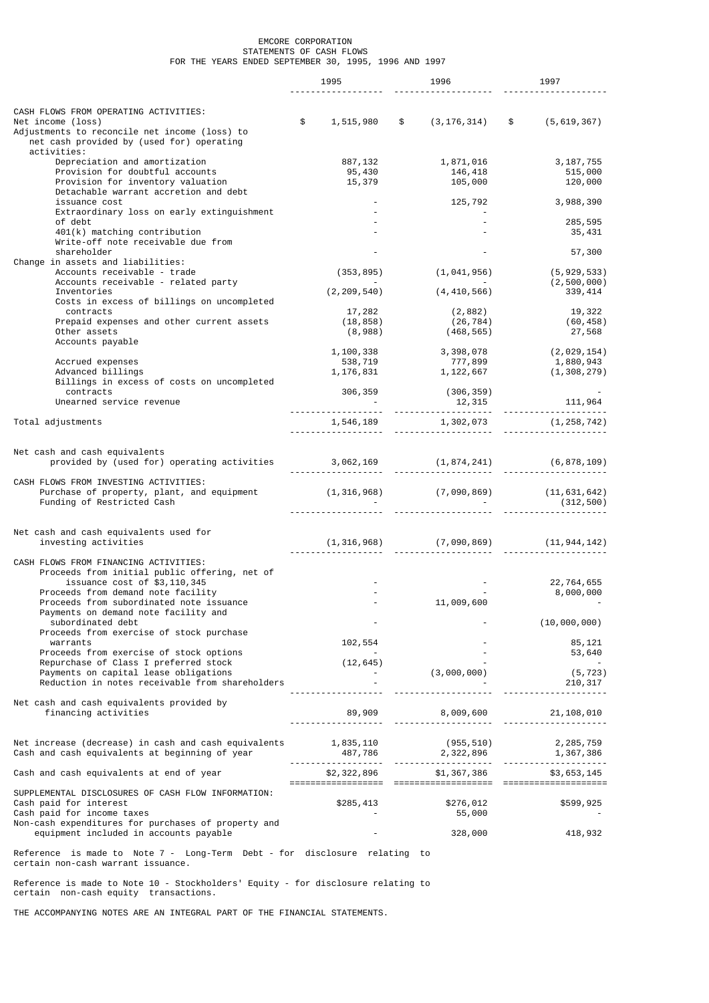## EMCORE CORPORATION STATEMENTS OF CASH FLOWS FOR THE YEARS ENDED SEPTEMBER 30, 1995, 1996 AND 1997

|                                                                                                                                                          | 1995                                 | 1996                                                                                                                  | 1997                                               |
|----------------------------------------------------------------------------------------------------------------------------------------------------------|--------------------------------------|-----------------------------------------------------------------------------------------------------------------------|----------------------------------------------------|
|                                                                                                                                                          |                                      |                                                                                                                       |                                                    |
| CASH FLOWS FROM OPERATING ACTIVITIES:<br>Net income (loss)<br>Adjustments to reconcile net income (loss) to<br>net cash provided by (used for) operating | \$                                   | $1,515,980$ \$ $(3,176,314)$ \$ $(5,619,367)$                                                                         |                                                    |
| activities:<br>Depreciation and amortization<br>Provision for doubtful accounts<br>Provision for inventory valuation                                     | 887, 132<br>95, 430<br>15,379        | 1,871,016<br>146,418<br>105,000                                                                                       | 3,187,755<br>515,000<br>120,000                    |
| Detachable warrant accretion and debt<br>issuance cost                                                                                                   |                                      | 125,792                                                                                                               | 3,988,390                                          |
| Extraordinary loss on early extinguishment<br>of debt<br>401(k) matching contribution<br>Write-off note receivable due from                              |                                      |                                                                                                                       | 285,595<br>35,431                                  |
| shareholder<br>Change in assets and liabilities:                                                                                                         |                                      |                                                                                                                       | 57,300                                             |
| Accounts receivable - trade<br>Accounts receivable - related party                                                                                       | (353, 895)                           | (1,041,956)                                                                                                           | (5,929,533)<br>(2,500,000)                         |
| Inventories<br>Costs in excess of billings on uncompleted                                                                                                | (2, 209, 540)                        | (4,410,566)                                                                                                           | 339, 414                                           |
| contracts<br>Prepaid expenses and other current assets<br>Other assets<br>Accounts payable                                                               | 17,282<br>(18, 858)<br>(8,988)       | (2, 882)<br>(26, 784)<br>(468, 565)                                                                                   | 19,322<br>(60, 458)<br>27,568                      |
| Accrued expenses<br>Advanced billings<br>Billings in excess of costs on uncompleted                                                                      | 1, 100, 338<br>538, 719<br>1,176,831 | 3,398,078<br>777,899<br>1, 122, 667                                                                                   | (2,029,154)<br>1,880,943<br>(1, 308, 279)          |
| contracts<br>Unearned service revenue                                                                                                                    | 306,359                              | (306,359)                                                                                                             |                                                    |
| Total adjustments                                                                                                                                        |                                      |                                                                                                                       | $1,546,189$ $1,302,073$ $(1,258,742)$ $1,259,742)$ |
| Net cash and cash equivalents                                                                                                                            |                                      |                                                                                                                       |                                                    |
| provided by (used for) operating activities $3,062,169$ $(1,874,241)$ $(6,878,109)$                                                                      |                                      |                                                                                                                       |                                                    |
| CASH FLOWS FROM INVESTING ACTIVITIES:<br>Purchase of property, plant, and equipment<br>Funding of Restricted Cash                                        |                                      |                                                                                                                       | $(1,316,968)$ $(7,090,869)$ $(11,631,642)$         |
|                                                                                                                                                          |                                      |                                                                                                                       |                                                    |
| Net cash and cash equivalents used for<br>investing activities                                                                                           |                                      |                                                                                                                       |                                                    |
| CASH FLOWS FROM FINANCING ACTIVITIES:<br>Proceeds from initial public offering, net of<br>issuance cost of \$3,110,345                                   |                                      |                                                                                                                       | 22,764,655                                         |
| Proceeds from demand note facility<br>Proceeds from subordinated note issuance<br>Payments on demand note facility and                                   |                                      | 11,009,600                                                                                                            | 8,000,000                                          |
| subordinated debt<br>Proceeds from exercise of stock purchase                                                                                            |                                      |                                                                                                                       | (10,000,000)                                       |
| warrants<br>Proceeds from exercise of stock options                                                                                                      | 102,554                              |                                                                                                                       | 85,121                                             |
| Repurchase of Class I preferred stock                                                                                                                    | (12, 645)                            |                                                                                                                       | 53,640                                             |
| Payments on capital lease obligations<br>Reduction in notes receivable from shareholders                                                                 |                                      | (3,000,000)                                                                                                           | (5, 723)<br>210,317                                |
| Net cash and cash equivalents provided by<br>financing activities                                                                                        |                                      |                                                                                                                       |                                                    |
| Net increase (decrease) in cash and cash equivalents 1,835,110<br>Cash and cash equivalents at beginning of year                                         |                                      | $1,835,110 \qquad \qquad (955,510) \qquad \qquad 2,285,759$ $487,786 \qquad \qquad 2,322,896 \qquad \qquad 1,367,386$ |                                                    |
| Cash and cash equivalents at end of year                                                                                                                 |                                      | \$2,322,896 \$1,367,386                                                                                               | \$3,653,145                                        |
| SUPPLEMENTAL DISCLOSURES OF CASH FLOW INFORMATION:                                                                                                       |                                      |                                                                                                                       |                                                    |
| Cash paid for interest<br>Cash paid for income taxes                                                                                                     | \$285,413                            | \$276,012<br>55,000                                                                                                   | \$599,925                                          |
| Non-cash expenditures for purchases of property and<br>equipment included in accounts payable                                                            |                                      | 328,000                                                                                                               | 418,932                                            |
| Reference is made to Note 7 - Long-Term Debt - for disclosure relating to<br>certain non-cash warrant issuance.                                          |                                      |                                                                                                                       |                                                    |

Reference is made to Note 10 - Stockholders' Equity - for disclosure relating to certain non-cash equity transactions.

THE ACCOMPANYING NOTES ARE AN INTEGRAL PART OF THE FINANCIAL STATEMENTS.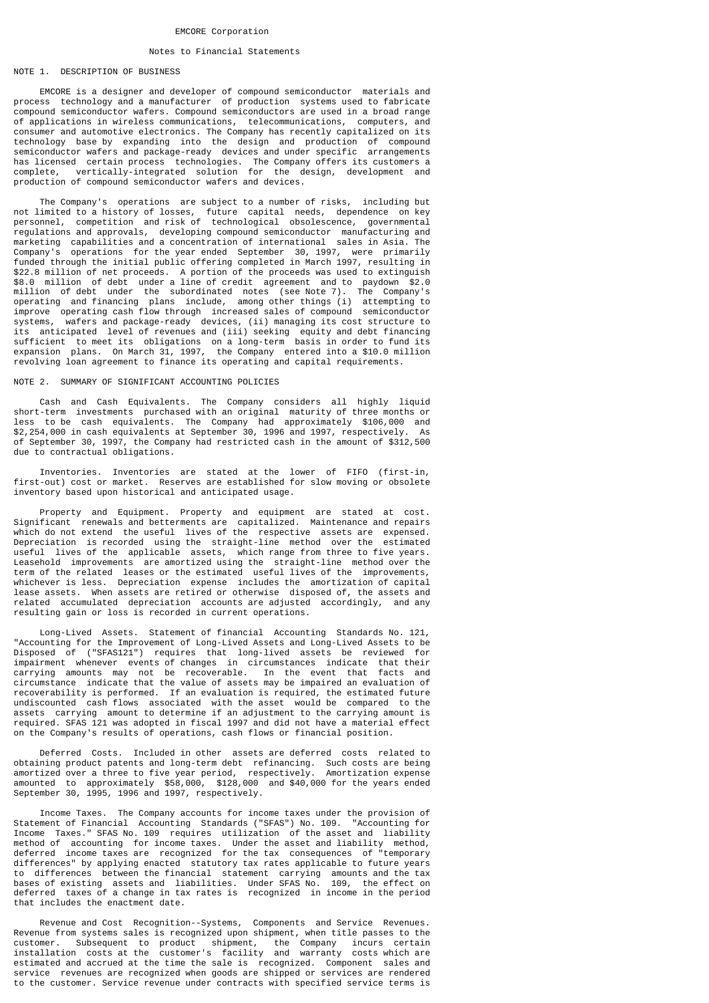## EMCORE Corporation

## Notes to Financial Statements

# NOTE 1. DESCRIPTION OF BUSINESS

 EMCORE is a designer and developer of compound semiconductor materials and process technology and a manufacturer of production systems used to fabricate compound semiconductor wafers. Compound semiconductors are used in a broad range of applications in wireless communications, telecommunications, computers, and consumer and automotive electronics. The Company has recently capitalized on its technology base by expanding into the design and production of compound semiconductor wafers and package-ready devices and under specific arrangements has licensed certain process technologies. The Company offers its customers a complete, vertically-integrated solution for the design, development and production of compound semiconductor wafers and devices.

 The Company's operations are subject to a number of risks, including but not limited to a history of losses, future capital needs, dependence on key personnel, competition and risk of technological obsolescence, governmental regulations and approvals, developing compound semiconductor manufacturing and marketing capabilities and a concentration of international sales in Asia. The Company's operations for the year ended September 30, 1997, were primarily funded through the initial public offering completed in March 1997, resulting in \$22.8 million of net proceeds. A portion of the proceeds was used to extinguish \$8.0 million of debt under a line of credit agreement and to paydown \$2.0 million of debt under the subordinated notes (see Note 7). The Company's operating and financing plans include, among other things (i) attempting to improve operating cash flow through increased sales of compound semiconductor systems, wafers and package-ready devices, (ii) managing its cost structure to its anticipated level of revenues and (iii) seeking equity and debt financing sufficient to meet its obligations on a long-term basis in order to fund its expansion plans. On March 31, 1997, the Company entered into a \$10.0 million revolving loan agreement to finance its operating and capital requirements.

## NOTE 2. SUMMARY OF SIGNIFICANT ACCOUNTING POLICIES

 Cash and Cash Equivalents. The Company considers all highly liquid short-term investments purchased with an original maturity of three months or less to be cash equivalents. The Company had approximately \$106,000 and \$2,254,000 in cash equivalents at September 30, 1996 and 1997, respectively. As of September 30, 1997, the Company had restricted cash in the amount of \$312,500 due to contractual obligations.

 Inventories. Inventories are stated at the lower of FIFO (first-in, first-out) cost or market. Reserves are established for slow moving or obsolete inventory based upon historical and anticipated usage.

 Property and Equipment. Property and equipment are stated at cost. Significant renewals and betterments are capitalized. Maintenance and repairs which do not extend the useful lives of the respective assets are expensed. Depreciation is recorded using the straight-line method over the estimated useful lives of the applicable assets, which range from three to five years. Leasehold improvements are amortized using the straight-line method over the term of the related leases or the estimated useful lives of the improvements, whichever is less. Depreciation expense includes the amortization of capital lease assets. When assets are retired or otherwise disposed of, the assets and related accumulated depreciation accounts are adjusted accordingly, and any resulting gain or loss is recorded in current operations.

 Long-Lived Assets. Statement of financial Accounting Standards No. 121, "Accounting for the Improvement of Long-Lived Assets and Long-Lived Assets to be ("SFAS121") requires that long-lived assets be reviewed for impairment whenever events of changes in circumstances indicate that their carrying amounts may not be recoverable. In the event that facts and circumstance indicate that the value of assets may be impaired an evaluation of recoverability is performed. If an evaluation is required, the estimated future undiscounted cash flows associated with the asset would be compared to the assets carrying amount to determine if an adjustment to the carrying amount is required. SFAS 121 was adopted in fiscal 1997 and did not have a material effect on the Company's results of operations, cash flows or financial position.

 Deferred Costs. Included in other assets are deferred costs related to obtaining product patents and long-term debt refinancing. Such costs are being amortized over a three to five year period, respectively. Amortization expense amounted to approximately \$58,000, \$128,000 and \$40,000 for the years ended September 30, 1995, 1996 and 1997, respectively.

 Income Taxes. The Company accounts for income taxes under the provision of Statement of Financial Accounting Standards ("SFAS") No. 109. "Accounting for Income Taxes." SFAS No. 109 requires utilization of the asset and liability method of accounting for income taxes. Under the asset and liability method, deferred income taxes are recognized for the tax consequences of "temporary differences" by applying enacted statutory tax rates applicable to future years to differences between the financial statement carrying amounts and the tax bases of existing assets and liabilities. Under SFAS No. 109, the effect on deferred taxes of a change in tax rates is recognized in income in the period that includes the enactment date.

 Revenue and Cost Recognition--Systems, Components and Service Revenues. Revenue from systems sales is recognized upon shipment, when title passes to the customer. Subsequent to product shipment, the Company incurs certain installation costs at the customer's facility and warranty costs which are estimated and accrued at the time the sale is recognized. Component sales and service revenues are recognized when goods are shipped or services are rendered to the customer. Service revenue under contracts with specified service terms is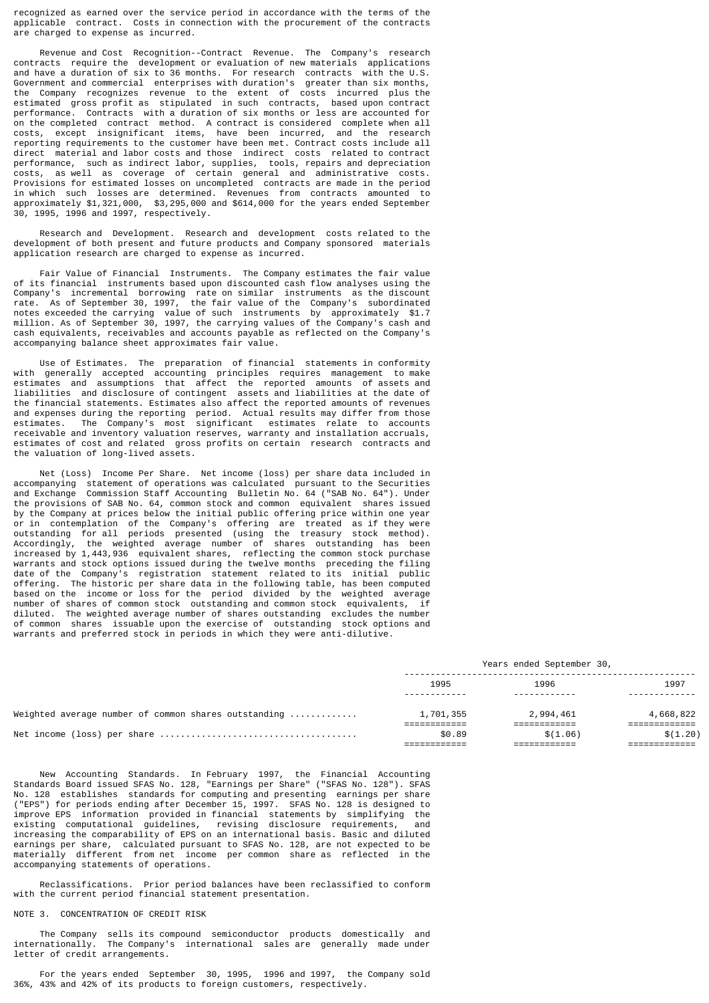recognized as earned over the service period in accordance with the terms of the applicable contract. Costs in connection with the procurement of the contracts are charged to expense as incurred.

 Revenue and Cost Recognition--Contract Revenue. The Company's research contracts require the development or evaluation of new materials applications and have a duration of six to 36 months. For research contracts with the U.S. Government and commercial enterprises with duration's greater than six months, the Company recognizes revenue to the extent of costs incurred plus the estimated gross profit as stipulated in such contracts, based upon contract performance. Contracts with a duration of six months or less are accounted for on the completed contract method. A contract is considered complete when all costs, except insignificant items, have been incurred, and the research reporting requirements to the customer have been met. Contract costs include all direct material and labor costs and those indirect costs related to contract performance, such as indirect labor, supplies, tools, repairs and depreciation costs, as well as coverage of certain general and administrative costs. Provisions for estimated losses on uncompleted contracts are made in the period in which such losses are determined. Revenues from contracts amounted to approximately \$1,321,000, \$3,295,000 and \$614,000 for the years ended September 30, 1995, 1996 and 1997, respectively.

 Research and Development. Research and development costs related to the development of both present and future products and Company sponsored materials application research are charged to expense as incurred.

 Fair Value of Financial Instruments. The Company estimates the fair value of its financial instruments based upon discounted cash flow analyses using the Company's incremental borrowing rate on similar instruments as the discount rate. As of September 30, 1997, the fair value of the Company's subordinated notes exceeded the carrying value of such instruments by approximately \$1.7 million. As of September 30, 1997, the carrying values of the Company's cash and cash equivalents, receivables and accounts payable as reflected on the Company's accompanying balance sheet approximates fair value.

 Use of Estimates. The preparation of financial statements in conformity with generally accepted accounting principles requires management to make estimates and assumptions that affect the reported amounts of assets and liabilities and disclosure of contingent assets and liabilities at the date of the financial statements. Estimates also affect the reported amounts of revenues and expenses during the reporting period. Actual results may differ from those estimates. The Company's most significant estimates relate to accounts receivable and inventory valuation reserves, warranty and installation accruals, estimates of cost and related gross profits on certain research contracts and the valuation of long-lived assets.

 Net (Loss) Income Per Share. Net income (loss) per share data included in accompanying statement of operations was calculated pursuant to the Securities and Exchange Commission Staff Accounting Bulletin No. 64 ("SAB No. 64"). Under the provisions of SAB No. 64, common stock and common equivalent shares issued by the Company at prices below the initial public offering price within one year or in contemplation of the Company's offering are treated as if they were outstanding for all periods presented (using the treasury stock method). Accordingly, the weighted average number of shares outstanding has been increased by 1,443,936 equivalent shares, reflecting the common stock purchase warrants and stock options issued during the twelve months preceding the filing date of the Company's registration statement related to its initial public offering. The historic per share data in the following table, has been computed based on the income or loss for the period divided by the weighted average number of shares of common stock outstanding and common stock equivalents, if diluted. The weighted average number of shares outstanding excludes the number of common shares issuable upon the exercise of outstanding stock options and warrants and preferred stock in periods in which they were anti-dilutive.

# -------------------------------------------------------- 1995 1996 1997 ------------ ------------ ------------- Weighted average number of common shares outstanding ............. 1,701,355 2,994,461 4,668,822 ============ ============ ============= Net income (loss) per share ...................................... \$0.89 \$(1.06) \$(1.20) ============ ============ =============

 New Accounting Standards. In February 1997, the Financial Accounting Standards Board issued SFAS No. 128, "Earnings per Share" ("SFAS No. 128"). SFAS No. 128 establishes standards for computing and presenting earnings per share ("EPS") for periods ending after December 15, 1997. SFAS No. 128 is designed to improve EPS information provided in financial statements by simplifying the existing computational guidelines, revising disclosure requirements, and increasing the comparability of EPS on an international basis. Basic and diluted earnings per share, calculated pursuant to SFAS No. 128, are not expected to be materially different from net income per common share as reflected in the accompanying statements of operations.

 Reclassifications. Prior period balances have been reclassified to conform with the current period financial statement presentation.

# NOTE 3. CONCENTRATION OF CREDIT RISK

 The Company sells its compound semiconductor products domestically and internationally. The Company's international sales are generally made under letter of credit arrangements.

 For the years ended September 30, 1995, 1996 and 1997, the Company sold 36%, 43% and 42% of its products to foreign customers, respectively.

## Years ended September 30,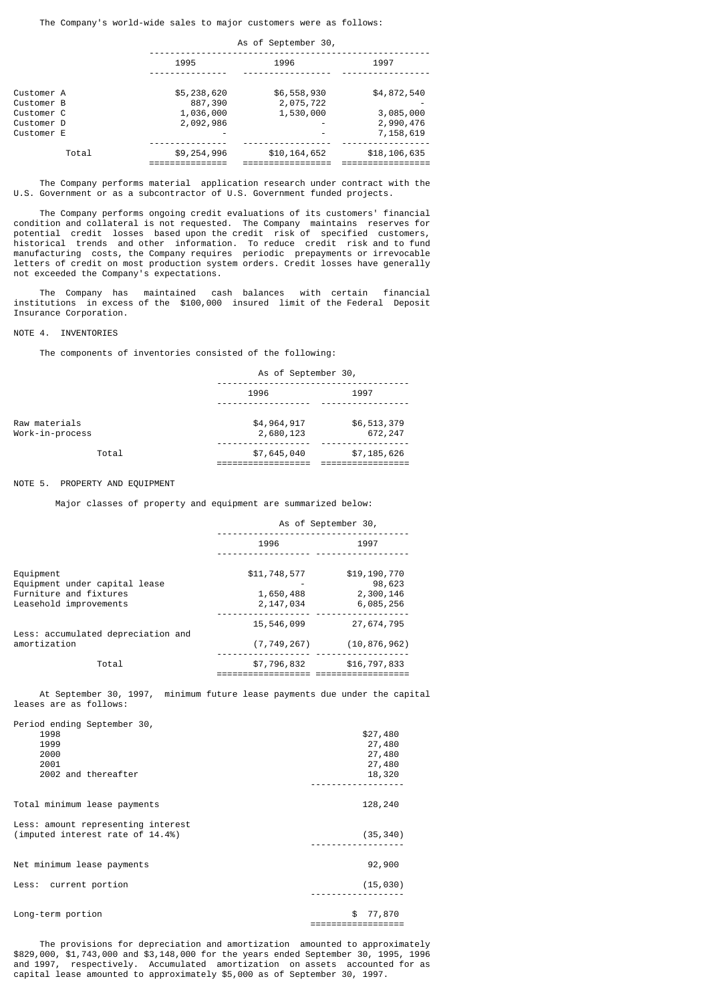The Company's world-wide sales to major customers were as follows:

|                          |                      | As of September 30,    |                        |
|--------------------------|----------------------|------------------------|------------------------|
|                          | 1995                 | 1996                   | 1997                   |
| Customer A               | \$5,238,620          | \$6,558,930            | \$4,872,540            |
| Customer B<br>Customer C | 887,390<br>1,036,000 | 2,075,722<br>1,530,000 | 3,085,000              |
| Customer D<br>Customer E | 2,092,986            |                        | 2,990,476<br>7,158,619 |
| Total                    | \$9,254,996          | \$10,164,652           | \$18,106,635           |

 The Company performs material application research under contract with the U.S. Government or as a subcontractor of U.S. Government funded projects.

 The Company performs ongoing credit evaluations of its customers' financial condition and collateral is not requested. The Company maintains reserves for potential credit losses based upon the credit risk of specified customers, historical trends and other information. To reduce credit risk and to fund manufacturing costs, the Company requires periodic prepayments or irrevocable letters of credit on most production system orders. Credit losses have generally not exceeded the Company's expectations.

 The Company has maintained cash balances with certain financial institutions in excess of the \$100,000 insured limit of the Federal Deposit Insurance Corporation.

## NOTE 4. INVENTORIES

The components of inventories consisted of the following:

|                                  | As of September 30,      |                        |  |
|----------------------------------|--------------------------|------------------------|--|
|                                  | 1996                     | 1997                   |  |
| Raw materials<br>Work-in-process | \$4,964,917<br>2,680,123 | \$6,513,379<br>672,247 |  |
| Total                            | \$7,645,040              | \$7,185,626            |  |

#### NOTE 5. PROPERTY AND EQUIPMENT

Major classes of property and equipment are summarized below:

|                                                                                                | As of September 30,                    |                                                  |  |
|------------------------------------------------------------------------------------------------|----------------------------------------|--------------------------------------------------|--|
|                                                                                                | 1996                                   | 1997                                             |  |
| Equipment<br>Equipment under capital lease<br>Furniture and fixtures<br>Leasehold improvements | \$11,748,577<br>1,650,488<br>2,147,034 | \$19,190,770<br>98,623<br>2,300,146<br>6,085,256 |  |
| Less: accumulated depreciation and<br>amortization                                             | 15,546,099<br>(7, 749, 267)            | 27,674,795<br>(10, 876, 962)                     |  |
| Total                                                                                          | \$7,796,832                            | \$16,797,833                                     |  |

 At September 30, 1997, minimum future lease payments due under the capital leases are as follows:

| Period ending September 30,<br>1998<br>1999<br>2000<br>2001<br>2002 and thereafter | \$27,480<br>27,480<br>27,480<br>27,480<br>18,320 |
|------------------------------------------------------------------------------------|--------------------------------------------------|
| Total minimum lease payments                                                       | 128,240                                          |
| Less: amount representing interest<br>(imputed interest rate of 14.4%)             | (35, 340)                                        |
| Net minimum lease payments                                                         | 92,900                                           |
| Less: current portion                                                              | (15, 030)                                        |
| Long-term portion                                                                  | 77,870<br>\$                                     |

==================

 The provisions for depreciation and amortization amounted to approximately \$829,000, \$1,743,000 and \$3,148,000 for the years ended September 30, 1995, 1996 and 1997, respectively. Accumulated amortization on assets accounted for as capital lease amounted to approximately \$5,000 as of September 30, 1997.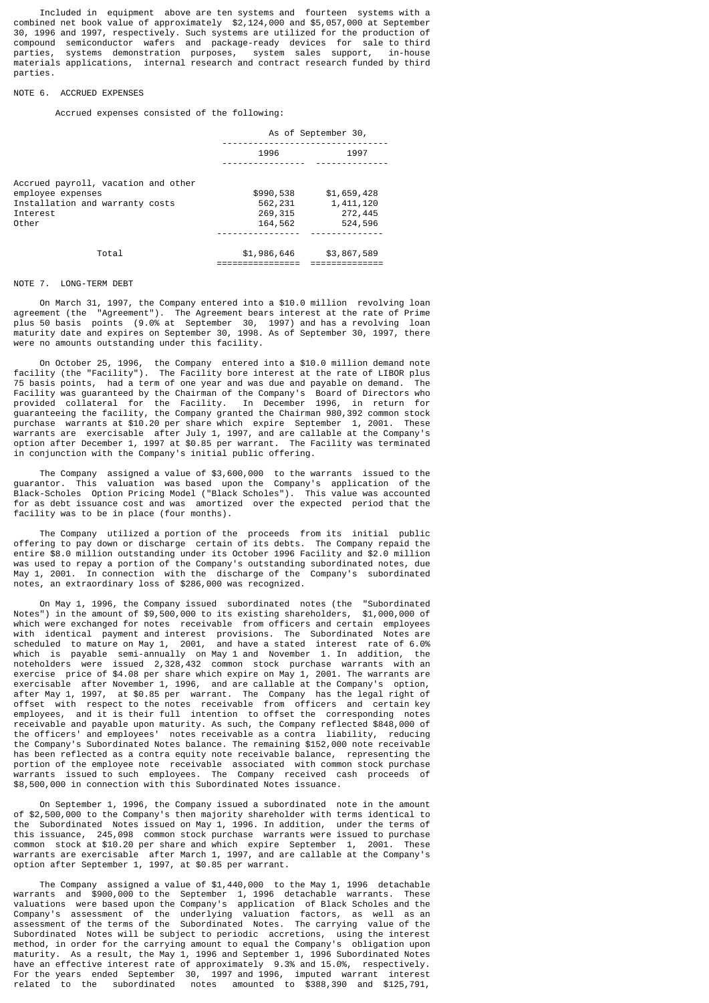Included in equipment above are ten systems and fourteen systems with a combined net book value of approximately \$2,124,000 and \$5,057,000 at September 30, 1996 and 1997, respectively. Such systems are utilized for the production of compound semiconductor wafers and package-ready devices for sale to third parties, systems demonstration purposes, system sales support, in-house materials applications, internal research and contract research funded by third parties.

## NOTE 6. ACCRUED EXPENSES

Accrued expenses consisted of the following:

|                                                                                                                  | As of September 30,                         |                                                |  |  |
|------------------------------------------------------------------------------------------------------------------|---------------------------------------------|------------------------------------------------|--|--|
|                                                                                                                  | 1996                                        | 1997                                           |  |  |
| Accrued payroll, vacation and other<br>employee expenses<br>Installation and warranty costs<br>Interest<br>Other | \$990,538<br>562,231<br>269, 315<br>164,562 | \$1,659,428<br>1,411,120<br>272,445<br>524,596 |  |  |
|                                                                                                                  |                                             |                                                |  |  |
| Total                                                                                                            | \$1,986,646                                 | \$3,867,589                                    |  |  |

## NOTE 7 LONG-TERM DEBT

 On March 31, 1997, the Company entered into a \$10.0 million revolving loan agreement (the "Agreement"). The Agreement bears interest at the rate of Prime plus 50 basis points (9.0% at September 30, 1997) and has a revolving loan maturity date and expires on September 30, 1998. As of September 30, 1997, there were no amounts outstanding under this facility.

 On October 25, 1996, the Company entered into a \$10.0 million demand note facility (the "Facility"). The Facility bore interest at the rate of LIBOR plus 75 basis points, had a term of one year and was due and payable on demand. The Facility was guaranteed by the Chairman of the Company's Board of Directors who provided collateral for the Facility. In December 1996, in return for guaranteeing the facility, the Company granted the Chairman 980,392 common stock purchase warrants at \$10.20 per share which expire September 1, 2001. These warrants are exercisable after July 1, 1997, and are callable at the Company's option after December 1, 1997 at \$0.85 per warrant. The Facility was terminated in conjunction with the Company's initial public offering.

 The Company assigned a value of \$3,600,000 to the warrants issued to the guarantor. This valuation was based upon the Company's application of the Black-Scholes Option Pricing Model ("Black Scholes"). This value was accounted for as debt issuance cost and was amortized over the expected period that the facility was to be in place (four months).

 The Company utilized a portion of the proceeds from its initial public offering to pay down or discharge certain of its debts. The Company repaid the entire \$8.0 million outstanding under its October 1996 Facility and \$2.0 million was used to repay a portion of the Company's outstanding subordinated notes, due May 1, 2001. In connection with the discharge of the Company's subordinated notes, an extraordinary loss of \$286,000 was recognized.

 On May 1, 1996, the Company issued subordinated notes (the "Subordinated Notes") in the amount of \$9,500,000 to its existing shareholders, \$1,000,000 of which were exchanged for notes receivable from officers and certain employees with identical payment and interest provisions. The Subordinated Notes are scheduled to mature on May 1, 2001, and have a stated interest rate of 6.0% which is payable semi-annually on May 1 and November 1. In addition, the noteholders were issued 2,328,432 common stock purchase warrants with an exercise price of \$4.08 per share which expire on May 1, 2001. The warrants are exercisable after November 1, 1996, and are callable at the Company's option, after May 1, 1997, at \$0.85 per warrant. The Company has the legal right of offset with respect to the notes receivable from officers and certain key employees, and it is their full intention to offset the corresponding notes receivable and payable upon maturity. As such, the Company reflected \$848,000 of the officers' and employees' notes receivable as a contra liability, reducing the Company's Subordinated Notes balance. The remaining \$152,000 note receivable has been reflected as a contra equity note receivable balance, representing the portion of the employee note receivable associated with common stock purchase warrants issued to such employees. The Company received cash proceeds of \$8,500,000 in connection with this Subordinated Notes issuance.

 On September 1, 1996, the Company issued a subordinated note in the amount of \$2,500,000 to the Company's then majority shareholder with terms identical to the Subordinated Notes issued on May 1, 1996. In addition, under the terms of this issuance, 245,098 common stock purchase warrants were issued to purchase common stock at \$10.20 per share and which expire September 1, 2001. These warrants are exercisable after March 1, 1997, and are callable at the Company's option after September 1, 1997, at \$0.85 per warrant.

 The Company assigned a value of \$1,440,000 to the May 1, 1996 detachable warrants and \$900,000 to the September 1, 1996 detachable warrants. These valuations were based upon the Company's application of Black Scholes and the Company's assessment of the underlying valuation factors, as well as an assessment of the terms of the Subordinated Notes. The carrying value of the Subordinated Notes will be subject to periodic accretions, using the interest method, in order for the carrying amount to equal the Company's obligation upon maturity. As a result, the May 1, 1996 and September 1, 1996 Subordinated Notes have an effective interest rate of approximately 9.3% and 15.0%, respectively. For the years ended September 30, 1997 and 1996, imputed warrant interest related to the subordinated notes amounted to \$388,390 and \$125,791,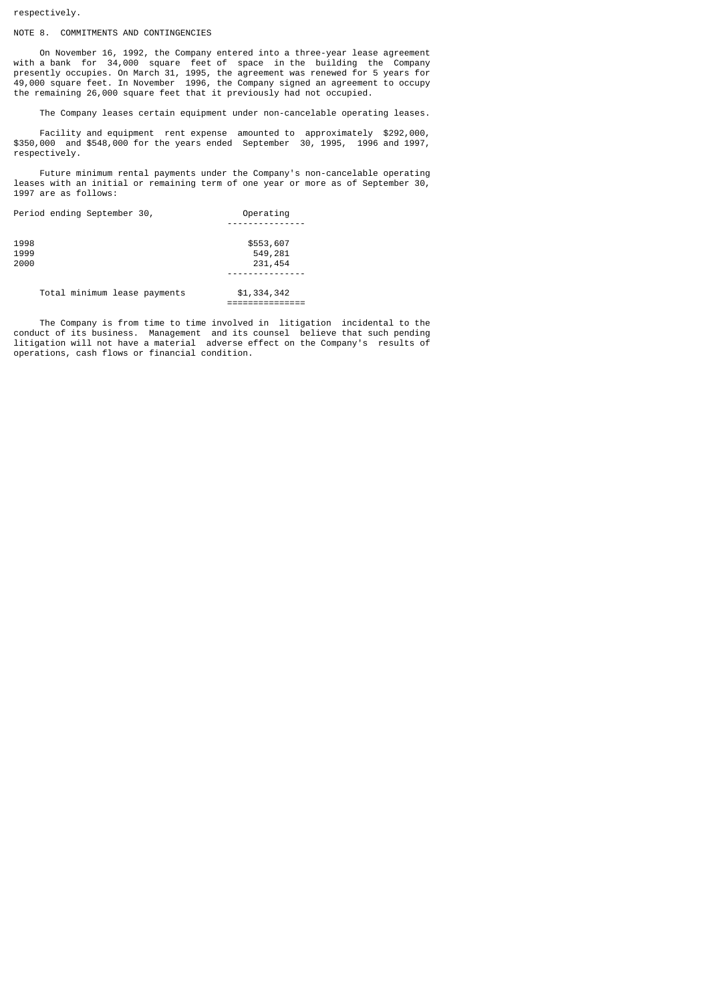respectively.

# NOTE 8. COMMITMENTS AND CONTINGENCIES

 On November 16, 1992, the Company entered into a three-year lease agreement with a bank for 34,000 square feet of space in the building the Company presently occupies. On March 31, 1995, the agreement was renewed for 5 years for 49,000 square feet. In November 1996, the Company signed an agreement to occupy the remaining 26,000 square feet that it previously had not occupied.

The Company leases certain equipment under non-cancelable operating leases.

 Facility and equipment rent expense amounted to approximately \$292,000, \$350,000 and \$548,000 for the years ended September 30, 1995, 1996 and 1997, respectively.

 Future minimum rental payments under the Company's non-cancelable operating leases with an initial or remaining term of one year or more as of September 30, 1997 are as follows:

| Period ending September 30,  | Operating   |
|------------------------------|-------------|
|                              |             |
| 1998                         | \$553,607   |
| 1999                         | 549,281     |
| 2000                         | 231,454     |
|                              |             |
| Total minimum lease payments | \$1,334,342 |
|                              |             |

 The Company is from time to time involved in litigation incidental to the conduct of its business. Management and its counsel believe that such pending litigation will not have a material adverse effect on the Company's results of operations, cash flows or financial condition.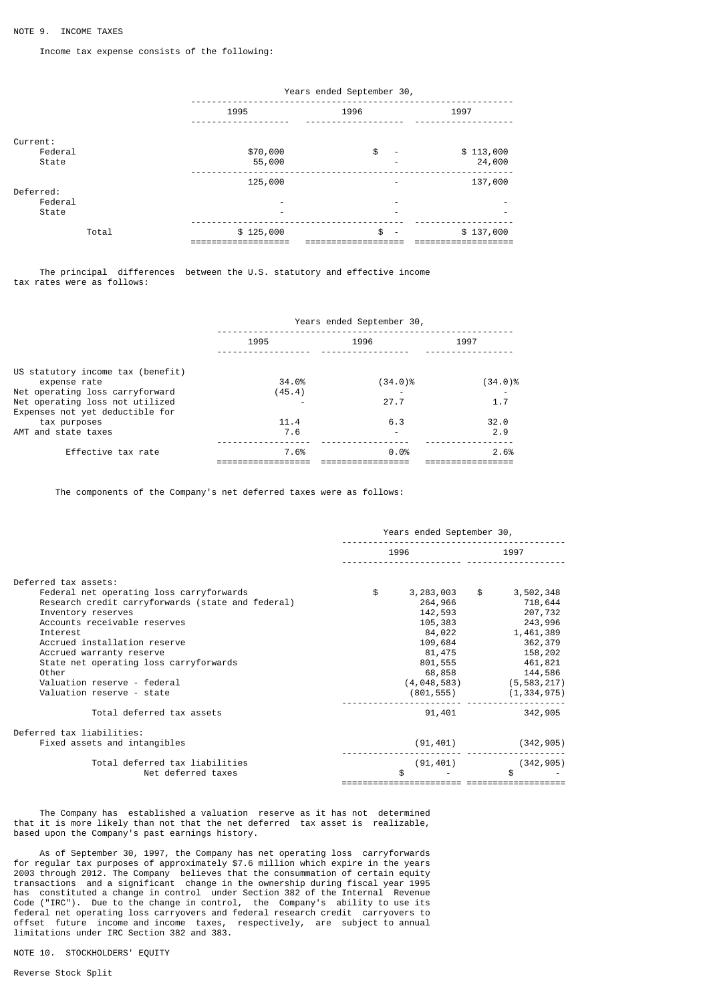Income tax expense consists of the following:

|                              |                    | Years ended September 30,           |                     |  |  |  |  |
|------------------------------|--------------------|-------------------------------------|---------------------|--|--|--|--|
|                              | 1995               | 1996                                | 1997                |  |  |  |  |
| Current:<br>Federal<br>State | \$70,000<br>55,000 | \$<br>$\overline{\phantom{a}}$<br>- | \$113,000<br>24,000 |  |  |  |  |
| Deferred:<br>Federal         | 125,000            | -<br>-                              | 137,000             |  |  |  |  |
| State                        |                    | -                                   |                     |  |  |  |  |
| Total                        | \$125,000          | \$<br>$\overline{\phantom{a}}$      | \$137,000           |  |  |  |  |

 The principal differences between the U.S. statutory and effective income tax rates were as follows:

|                                   | Years ended September 30, |                          |         |  |  |
|-----------------------------------|---------------------------|--------------------------|---------|--|--|
|                                   | 1995                      | 1996                     | 1997    |  |  |
| US statutory income tax (benefit) |                           |                          |         |  |  |
| expense rate                      | 34.0%                     | (34.0)%                  | (34.0)% |  |  |
| Net operating loss carryforward   | (45.4)                    |                          |         |  |  |
| Net operating loss not utilized   |                           | 27.7                     | 1.7     |  |  |
| Expenses not yet deductible for   |                           |                          |         |  |  |
| tax purposes                      | 11.4                      | 6.3                      | 32.0    |  |  |
| AMT and state taxes               | 7.6                       | $\overline{\phantom{0}}$ | 2.9     |  |  |
|                                   |                           |                          |         |  |  |
| Effective tax rate                | 7.6%                      | 0.0%                     | 2.6%    |  |  |
|                                   |                           |                          |         |  |  |

The components of the Company's net deferred taxes were as follows:

|                                                   | Years ended September 30, |           |               |                                 |
|---------------------------------------------------|---------------------------|-----------|---------------|---------------------------------|
|                                                   |                           | 1996      |               | 1997                            |
| Deferred tax assets:                              |                           |           |               |                                 |
| Federal net operating loss carryforwards          | \$                        | 3,283,003 | $\frac{1}{2}$ | 3,502,348                       |
| Research credit carryforwards (state and federal) |                           | 264,966   |               | 718,644                         |
| Inventory reserves                                |                           | 142,593   |               | 207,732                         |
| Accounts receivable reserves                      |                           | 105,383   |               | 243,996                         |
| Interest                                          |                           | 84,022    |               | 1,461,389                       |
| Accrued installation reserve                      |                           | 109,684   |               | 362,379                         |
| Accrued warranty reserve                          |                           | 81,475    |               | 158,202                         |
| State net operating loss carryforwards            |                           | 801,555   |               | 461,821                         |
| Other                                             |                           | 68,858    |               | 144,586                         |
| Valuation reserve - federal                       |                           |           |               | $(4, 048, 583)$ $(5, 583, 217)$ |
| Valuation reserve - state                         |                           |           |               | $(801, 555)$ $(1, 334, 975)$    |
| Total deferred tax assets                         |                           | 91,401    |               | 342,905                         |
| Deferred tax liabilities:                         |                           |           |               |                                 |
| Fixed assets and intangibles                      |                           | (91, 401) |               | (342, 905)                      |
| Total deferred tax liabilities                    |                           | (91, 401) |               | (342, 905)                      |
| Net deferred taxes                                |                           | \$.       |               | \$                              |
|                                                   |                           |           |               |                                 |

 The Company has established a valuation reserve as it has not determined that it is more likely than not that the net deferred tax asset is realizable, based upon the Company's past earnings history.

 As of September 30, 1997, the Company has net operating loss carryforwards for regular tax purposes of approximately \$7.6 million which expire in the years 2003 through 2012. The Company believes that the consummation of certain equity transactions and a significant change in the ownership during fiscal year 1995 has constituted a change in control under Section 382 of the Internal Revenue Code ("IRC"). Due to the change in control, the Company's ability to use its federal net operating loss carryovers and federal research credit carryovers to offset future income and income taxes, respectively, are subject to annual limitations under IRC Section 382 and 383.

NOTE 10. STOCKHOLDERS' EQUITY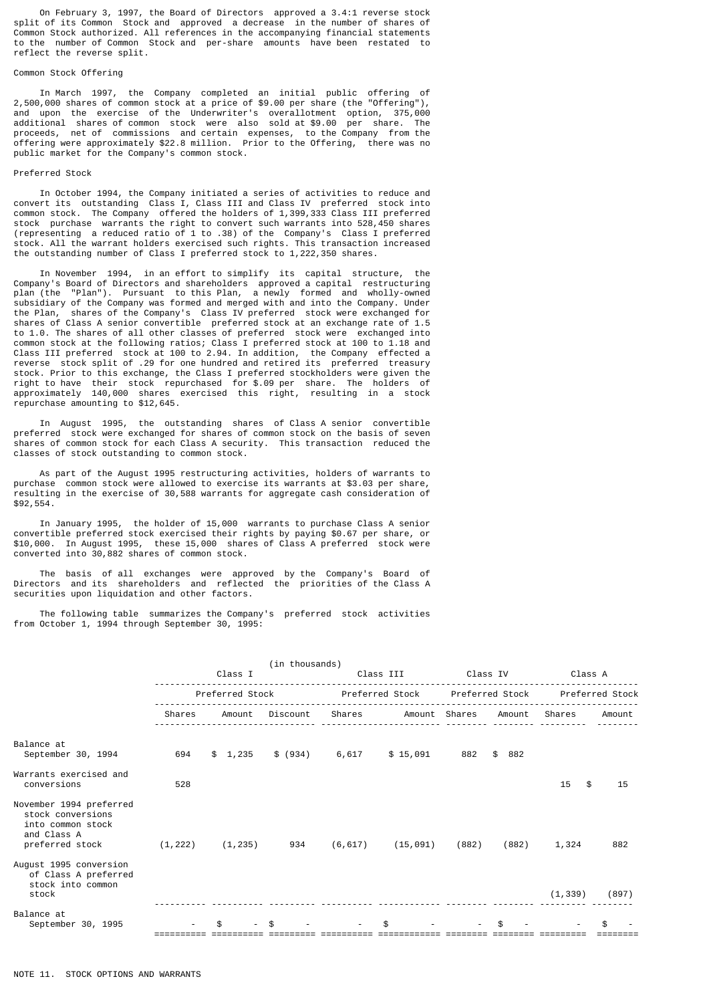On February 3, 1997, the Board of Directors approved a 3.4:1 reverse stock split of its Common Stock and approved a decrease in the number of shares of Common Stock authorized. All references in the accompanying financial statements to the number of Common Stock and per-share amounts have been restated to reflect the reverse split.

## Common Stock Offering

 In March 1997, the Company completed an initial public offering of 2,500,000 shares of common stock at a price of \$9.00 per share (the "Offering"), and upon the exercise of the Underwriter's overallotment option, 375,000 additional shares of common stock were also sold at \$9.00 per share. The proceeds, net of commissions and certain expenses, to the Company from the offering were approximately \$22.8 million. Prior to the Offering, there was no public market for the Company's common stock.

#### Preferred Stock

 In October 1994, the Company initiated a series of activities to reduce and convert its outstanding Class I, Class III and Class IV preferred stock into common stock. The Company offered the holders of 1,399,333 Class III preferred stock purchase warrants the right to convert such warrants into 528,450 shares (representing a reduced ratio of 1 to .38) of the Company's Class I preferred stock. All the warrant holders exercised such rights. This transaction increased the outstanding number of Class I preferred stock to 1,222,350 shares.

 In November 1994, in an effort to simplify its capital structure, the Company's Board of Directors and shareholders approved a capital restructuring plan (the "Plan"). Pursuant to this Plan, a newly formed and wholly-owned subsidiary of the Company was formed and merged with and into the Company. Under the Plan, shares of the Company's Class IV preferred stock were exchanged for shares of Class A senior convertible preferred stock at an exchange rate of 1.5 to 1.0. The shares of all other classes of preferred stock were exchanged into common stock at the following ratios; Class I preferred stock at 100 to 1.18 and Class III preferred stock at 100 to 2.94. In addition, the Company effected a reverse stock split of .29 for one hundred and retired its preferred treasury stock. Prior to this exchange, the Class I preferred stockholders were given the right to have their stock repurchased for \$.09 per share. The holders of approximately 140,000 shares exercised this right, resulting in a stock repurchase amounting to \$12,645.

 In August 1995, the outstanding shares of Class A senior convertible preferred stock were exchanged for shares of common stock on the basis of seven shares of common stock for each Class A security. This transaction reduced the classes of stock outstanding to common stock.

 As part of the August 1995 restructuring activities, holders of warrants to purchase common stock were allowed to exercise its warrants at \$3.03 per share, resulting in the exercise of 30,588 warrants for aggregate cash consideration of \$92,554.

 In January 1995, the holder of 15,000 warrants to purchase Class A senior convertible preferred stock exercised their rights by paying \$0.67 per share, or \$10,000. In August 1995, these 15,000 shares of Class A preferred stock were converted into 30,882 shares of common stock.

 The basis of all exchanges were approved by the Company's Board of Directors and its shareholders and reflected the priorities of the Class A securities upon liquidation and other factors.

 The following table summarizes the Company's preferred stock activities from October 1, 1994 through September 30, 1995:

|                                                                                                     |          |                 | (in thousands) |          |                 |          |                 |          |                 |
|-----------------------------------------------------------------------------------------------------|----------|-----------------|----------------|----------|-----------------|----------|-----------------|----------|-----------------|
|                                                                                                     |          | Class I         |                |          | Class III       | Class IV |                 | Class A  |                 |
|                                                                                                     |          | Preferred Stock |                |          | Preferred Stock |          | Preferred Stock |          | Preferred Stock |
|                                                                                                     | Shares   | Amount          | Discount       | Shares   | Amount Shares   |          | Amount          | Shares   | Amount          |
| Balance at<br>September 30, 1994                                                                    | 694      | \$1,235         | \$ (934)       | 6,617    | \$15,091        | 882      | \$882           |          |                 |
| Warrants exercised and<br>conversions                                                               | 528      |                 |                |          |                 |          |                 | 15<br>\$ | 15              |
| November 1994 preferred<br>stock conversions<br>into common stock<br>and Class A<br>preferred stock | (1, 222) | (1, 235)        | 934            | (6, 617) | (15, 091)       | (882)    | (882)           | 1,324    | 882             |
| August 1995 conversion<br>of Class A preferred<br>stock into common<br>stock                        |          |                 |                |          |                 |          |                 | (1, 339) | (897)           |
| Balance at<br>September 30, 1995                                                                    |          |                 | \$             |          | \$.             |          | \$              |          |                 |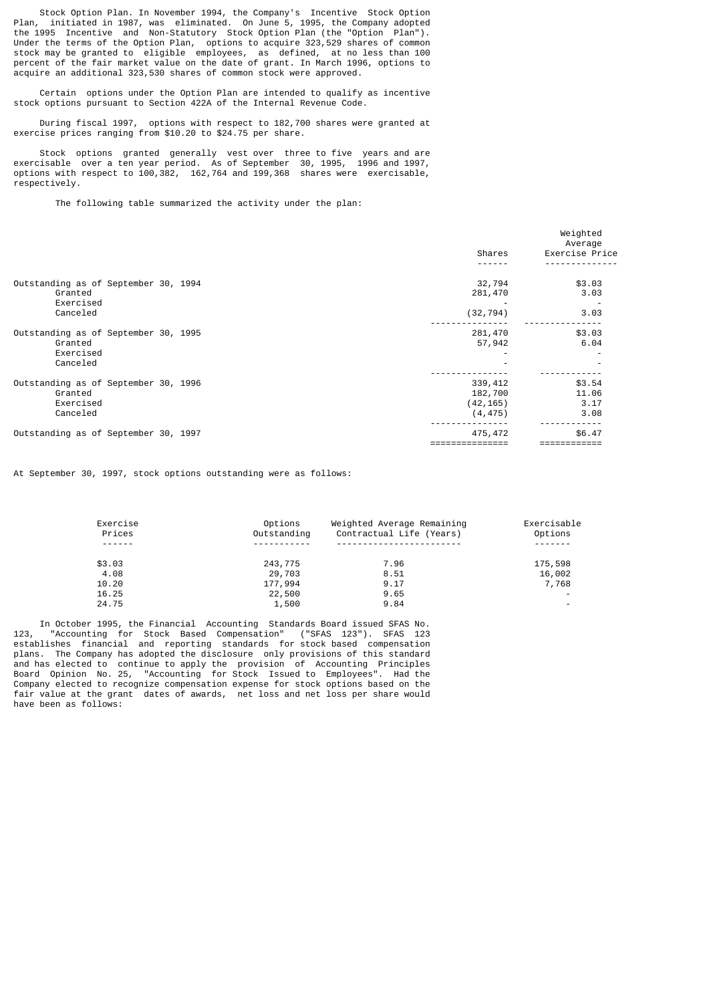Stock Option Plan. In November 1994, the Company's Incentive Stock Option Plan. initiated in 1987, was eliminated. On June 5, 1995, the Company adopted Plan, initiated in 1987, was eliminated. On June 5, 1995, the Company adopted the 1995 Incentive and Non-Statutory Stock Option Plan (the "Option Plan"). Under the terms of the Option Plan, options to acquire 323,529 shares of common stock may be granted to eligible employees, as defined, at no less than 100 percent of the fair market value on the date of grant. In March 1996, options to acquire an additional 323,530 shares of common stock were approved.

 Certain options under the Option Plan are intended to qualify as incentive stock options pursuant to Section 422A of the Internal Revenue Code.

 During fiscal 1997, options with respect to 182,700 shares were granted at exercise prices ranging from \$10.20 to \$24.75 per share.

 Stock options granted generally vest over three to five years and are exercisable over a ten year period. As of September 30, 1995, 1996 and 1997, options with respect to 100,382, 162,764 and 199,368 shares were exercisable, respectively.

The following table summarized the activity under the plan:

|                                      |  |           | Weighted<br>Average |
|--------------------------------------|--|-----------|---------------------|
|                                      |  | Shares    | Exercise Price      |
|                                      |  |           |                     |
| Outstanding as of September 30, 1994 |  | 32,794    | \$3.03              |
| Granted                              |  | 281,470   | 3.03                |
| Exercised                            |  |           |                     |
| Canceled                             |  | (32, 794) | 3.03                |
|                                      |  |           |                     |
| Outstanding as of September 30, 1995 |  | 281,470   | \$3.03              |
| Granted                              |  | 57,942    | 6.04                |
| Exercised                            |  |           |                     |
| Canceled                             |  |           |                     |
|                                      |  |           |                     |
| Outstanding as of September 30, 1996 |  | 339, 412  | \$3.54              |
| Granted                              |  | 182,700   | 11.06               |
| Exercised                            |  | (42, 165) | 3.17                |
| Canceled                             |  | (4, 475)  | 3.08                |
| Outstanding as of September 30, 1997 |  | 475,472   | \$6.47              |
|                                      |  |           |                     |

At September 30, 1997, stock options outstanding were as follows:

| Exercise | Options     | Weighted Average Remaining | Exercisable              |
|----------|-------------|----------------------------|--------------------------|
| Prices   | Outstanding | Contractual Life (Years)   | Options                  |
| ------   | ----------- |                            | - - - - - - -            |
| \$3.03   | 243,775     | 7.96                       | 175,598                  |
| 4.08     | 29,703      | 8.51                       | 16,002                   |
| 10.20    | 177,994     | 9.17                       | 7,768                    |
| 16.25    | 22,500      | 9.65                       | $\overline{\phantom{a}}$ |
| 24.75    | 1,500       | 9.84                       | $\overline{\phantom{a}}$ |

 In October 1995, the Financial Accounting Standards Board issued SFAS No. 123, "Accounting for Stock Based Compensation" ("SFAS 123"). SFAS 123 establishes financial and reporting standards for stock based compensation plans. The Company has adopted the disclosure only provisions of this standard and has elected to continue to apply the provision of Accounting Principles Board Opinion No. 25, "Accounting for Stock Issued to Employees". Had the Company elected to recognize compensation expense for stock options based on the fair value at the grant dates of awards, net loss and net loss per share would have been as follows: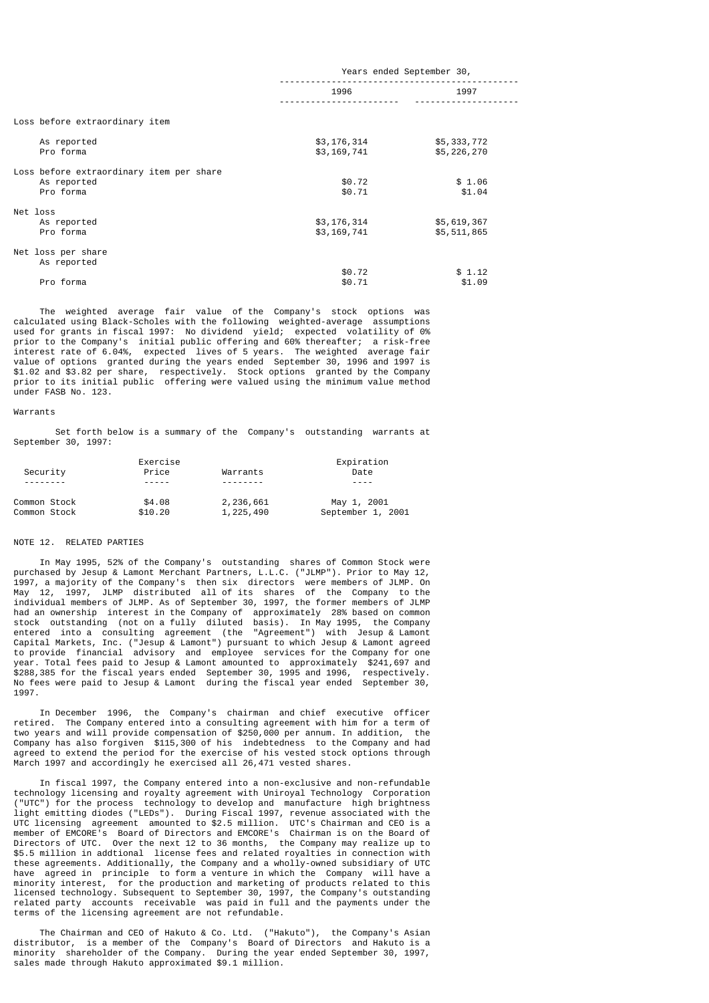|                                                                      | Years ended September 30,  |                            |  |
|----------------------------------------------------------------------|----------------------------|----------------------------|--|
|                                                                      | 1996                       | 1997                       |  |
| Loss before extraordinary item                                       |                            |                            |  |
| As reported<br>Pro forma                                             | \$3,176,314<br>\$3,169,741 | \$5,333,772<br>\$5,226,270 |  |
| Loss before extraordinary item per share<br>As reported<br>Pro forma | \$0.72<br>\$0.71           | \$1.06<br>\$1.04           |  |
| Net loss<br>As reported<br>Pro forma                                 | \$3,176,314<br>\$3,169,741 | \$5,619,367<br>\$5,511,865 |  |
| Net loss per share<br>As reported                                    |                            |                            |  |
| Pro forma                                                            | \$0.72<br>\$0.71           | \$1.12<br>\$1.09           |  |

 The weighted average fair value of the Company's stock options was calculated using Black-Scholes with the following weighted-average assumptions used for grants in fiscal 1997: No dividend yield; expected volatility of 0% prior to the Company's initial public offering and 60% thereafter; a risk-free interest rate of 6.04%, expected lives of 5 years. The weighted average fair value of options granted during the years ended September 30, 1996 and 1997 is \$1.02 and \$3.82 per share, respectively. Stock options granted by the Company prior to its initial public offering were valued using the minimum value method under FASB No. 123.

### Warrants

 Set forth below is a summary of the Company's outstanding warrants at September 30, 1997:

|              | Exercise |           | Expiration        |
|--------------|----------|-----------|-------------------|
| Security     | Price    | Warrants  | Date              |
|              |          |           | ----              |
| Common Stock | \$4.08   | 2,236,661 | May 1, 2001       |
| Common Stock | \$10.20  | 1,225,490 | September 1, 2001 |

## NOTE 12. RELATED PARTIES

 In May 1995, 52% of the Company's outstanding shares of Common Stock were purchased by Jesup & Lamont Merchant Partners, L.L.C. ("JLMP"). Prior to May 12, 1997, a majority of the Company's then six directors were members of JLMP. On May 12, 1997, JLMP distributed all of its shares of the Company to the individual members of JLMP. As of September 30, 1997, the former members of JLMP had an ownership interest in the Company of approximately 28% based on common stock outstanding (not on a fully diluted basis). In May 1995, the Company entered into a consulting agreement (the "Agreement") with Jesup & Lamont Capital Markets, Inc. ("Jesup & Lamont") pursuant to which Jesup & Lamont agreed to provide financial advisory and employee services for the Company for one year. Total fees paid to Jesup & Lamont amounted to approximately \$241,697 and \$288,385 for the fiscal years ended September 30, 1995 and 1996, respectively. No fees were paid to Jesup & Lamont during the fiscal year ended September 30, 1997.

 In December 1996, the Company's chairman and chief executive officer retired. The Company entered into a consulting agreement with him for a term of two years and will provide compensation of \$250,000 per annum. In addition, the two years and will provide compensation of \$250,000 per annum. In addition, Company has also forgiven \$115,300 of his indebtedness to the Company and had agreed to extend the period for the exercise of his vested stock options through March 1997 and accordingly he exercised all 26,471 vested shares.

 In fiscal 1997, the Company entered into a non-exclusive and non-refundable technology licensing and royalty agreement with Uniroyal Technology Corporation ("UTC") for the process technology to develop and manufacture high brightness light emitting diodes ("LEDs"). During Fiscal 1997, revenue associated with the UTC licensing agreement amounted to \$2.5 million. UTC's Chairman and CEO is a member of EMCORE's Board of Directors and EMCORE's Chairman is on the Board of Directors of UTC. Over the next 12 to 36 months, the Company may realize up to \$5.5 million in addtional license fees and related royalties in connection with these agreements. Additionally, the Company and a wholly-owned subsidiary of UTC have agreed in principle to form a venture in which the Company will have a minority interest, for the production and marketing of products related to this licensed technology. Subsequent to September 30, 1997, the Company's outstanding related party accounts receivable was paid in full and the payments under the terms of the licensing agreement are not refundable.

 The Chairman and CEO of Hakuto & Co. Ltd. ("Hakuto"), the Company's Asian distributor, is a member of the Company's Board of Directors and Hakuto is a minority shareholder of the Company. During the year ended September 30, 1997, sales made through Hakuto approximated \$9.1 million.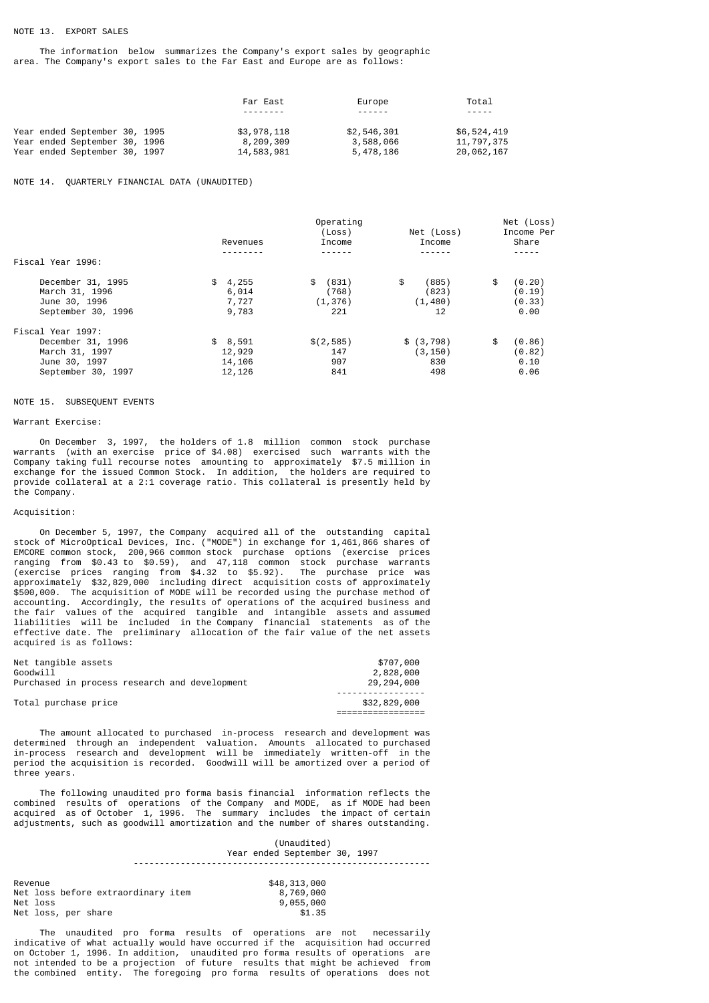## NOTE 13. EXPORT SALES

 The information below summarizes the Company's export sales by geographic area. The Company's export sales to the Far East and Europe are as follows:

|                               | Far East    | Europe      | Total       |
|-------------------------------|-------------|-------------|-------------|
|                               |             | ------      | $- - - - -$ |
| Year ended September 30, 1995 | \$3,978,118 | \$2,546,301 | \$6,524,419 |
| Year ended September 30, 1996 | 8,209,309   | 3,588,066   | 11,797,375  |
| Year ended September 30, 1997 | 14,583,981  | 5,478,186   | 20,062,167  |

## NOTE 14. QUARTERLY FINANCIAL DATA (UNAUDITED)

|                    | Operating |             |             | Net (Loss)   |  |
|--------------------|-----------|-------------|-------------|--------------|--|
|                    |           | (Loss)      | Net (Loss)  | Income Per   |  |
|                    | Revenues  | Income      | Income      | Share        |  |
|                    |           |             |             |              |  |
| Fiscal Year 1996:  |           |             |             |              |  |
| December 31, 1995  | \$4,255   | (831)<br>\$ | \$<br>(885) | \$<br>(0.20) |  |
| March 31, 1996     | 6,014     | (768)       | (823)       | (0.19)       |  |
| June 30, 1996      | 7,727     | (1, 376)    | (1, 480)    | (0.33)       |  |
| September 30, 1996 | 9,783     | 221         | 12          | 0.00         |  |
| Fiscal Year 1997:  |           |             |             |              |  |
| December 31, 1996  | \$8,591   | \$(2, 585)  | \$ (3, 798) | \$<br>(0.86) |  |
| March 31, 1997     | 12,929    | 147         | (3, 150)    | (0.82)       |  |
| June 30, 1997      | 14,106    | 907         | 830         | 0.10         |  |
| September 30, 1997 | 12,126    | 841         | 498         | 0.06         |  |

### NOTE 15. SUBSEQUENT EVENTS

## Warrant Exercise:

 On December 3, 1997, the holders of 1.8 million common stock purchase warrants (with an exercise price of \$4.08) exercised such warrants with the Company taking full recourse notes amounting to approximately \$7.5 million in exchange for the issued Common Stock. In addition, the holders are required to provide collateral at a 2:1 coverage ratio. This collateral is presently held by the Company.

## Acquisition:

 On December 5, 1997, the Company acquired all of the outstanding capital stock of MicroOptical Devices, Inc. ("MODE") in exchange for 1,461,866 shares of EMCORE common stock, 200,966 common stock purchase options (exercise prices ranging from \$0.43 to \$0.59), and 47,118 common stock purchase warrants (exercise prices ranging from \$4.32 to \$5.92). The purchase price was approximately \$32,829,000 including direct acquisition costs of approximately \$500,000. The acquisition of MODE will be recorded using the purchase method of accounting. Accordingly, the results of operations of the acquired business and the fair values of the acquired tangible and intangible assets and assumed liabilities will be included in the Company financial statements as of the effective date. The preliminary allocation of the fair value of the net assets acquired is as follows:

| Net tangible assets                           | \$707,000    |
|-----------------------------------------------|--------------|
| Goodwill                                      | 2,828,000    |
| Purchased in process research and development | 29,294,000   |
|                                               |              |
| Total purchase price                          | \$32,829,000 |
|                                               |              |

 The amount allocated to purchased in-process research and development was determined through an independent valuation. Amounts allocated to purchased in-process research and development will be immediately written-off in the period the acquisition is recorded. Goodwill will be amortized over a period of three years.

 The following unaudited pro forma basis financial information reflects the combined results of operations of the Company and MODE, as if MODE had been acquired as of October 1, 1996. The summary includes the impact of certain adjustments, such as goodwill amortization and the number of shares outstanding.

|                                    | (Unaudited)<br>Year ended September 30, 1997 |
|------------------------------------|----------------------------------------------|
| Revenue                            | \$48,313,000                                 |
| Net loss before extraordinary item | 8,769,000                                    |
| Net loss                           | 9,055,000                                    |
| Net loss, per share                | \$1.35                                       |

 The unaudited pro forma results of operations are not necessarily indicative of what actually would have occurred if the acquisition had occurred on October 1, 1996. In addition, unaudited pro forma results of operations are not intended to be a projection of future results that might be achieved from the combined entity. The foregoing pro forma results of operations does not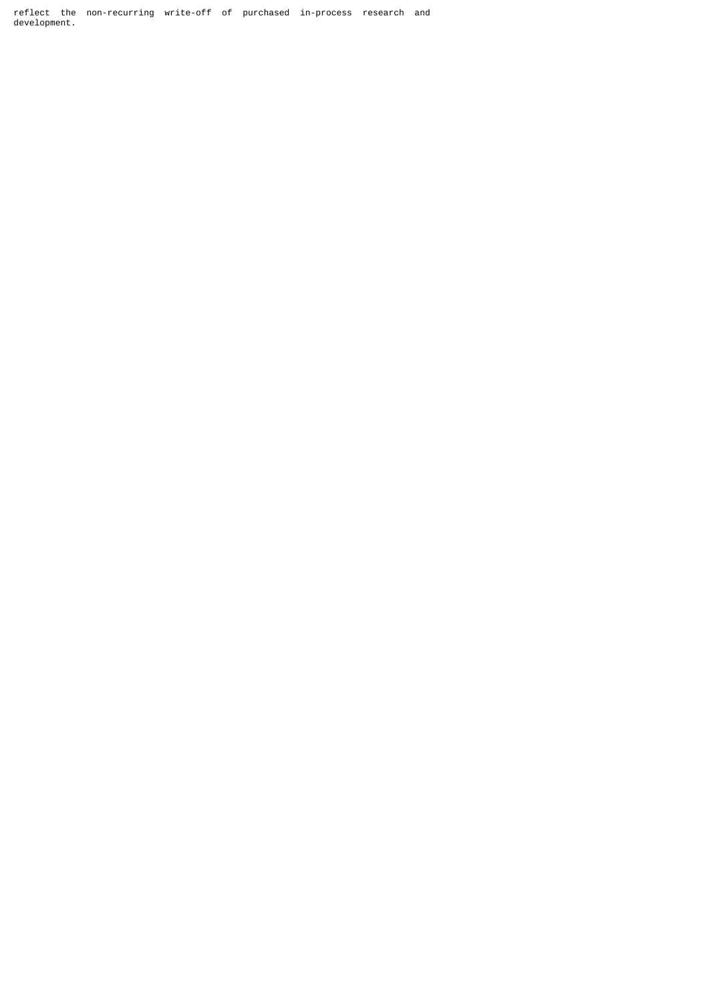reflect the non-recurring write-off of purchased in-process research and development.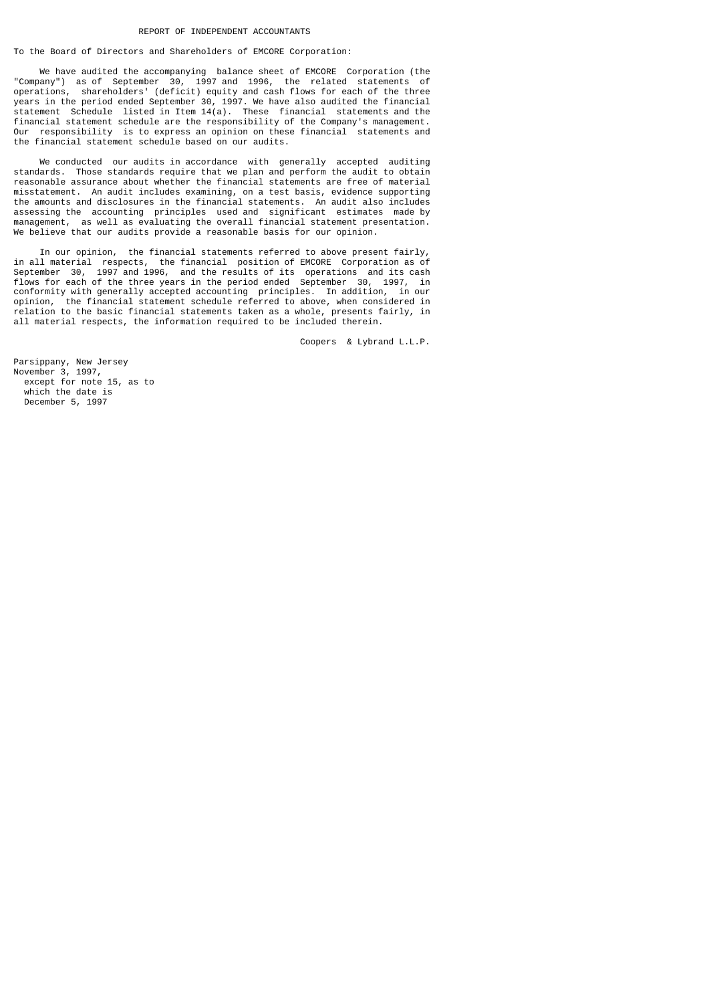## REPORT OF INDEPENDENT ACCOUNTANTS

To the Board of Directors and Shareholders of EMCORE Corporation:

 We have audited the accompanying balance sheet of EMCORE Corporation (the "Company") as of September 30, 1997 and 1996, the related statements of operations, shareholders' (deficit) equity and cash flows for each of the three years in the period ended September 30, 1997. We have also audited the financial statement Schedule listed in Item 14(a). These financial statements and the financial statement schedule are the responsibility of the Company's management. Our responsibility is to express an opinion on these financial statements and the financial statement schedule based on our audits.

We conducted our audits in accordance with generally accepted auditing standards. Those standards require that we plan and perform the audit to obtain reasonable assurance about whether the financial statements are free of material misstatement. An audit includes examining, on a test basis, evidence supporting the amounts and disclosures in the financial statements. An audit also includes assessing the accounting principles used and significant estimates made by management, as well as evaluating the overall financial statement presentation. We believe that our audits provide a reasonable basis for our opinion.

 In our opinion, the financial statements referred to above present fairly, in all material respects, the financial position of EMCORE Corporation as of September 30, 1997 and 1996, and the results of its operations and its cash flows for each of the three years in the period ended September 30, 1997, in conformity with generally accepted accounting principles. In addition, in our opinion, the financial statement schedule referred to above, when considered in relation to the basic financial statements taken as a whole, presents fairly, in all material respects, the information required to be included therein.

Coopers & Lybrand L.L.P.

Parsippany, New Jersey November 3, 1997, except for note 15, as to which the date is December 5, 1997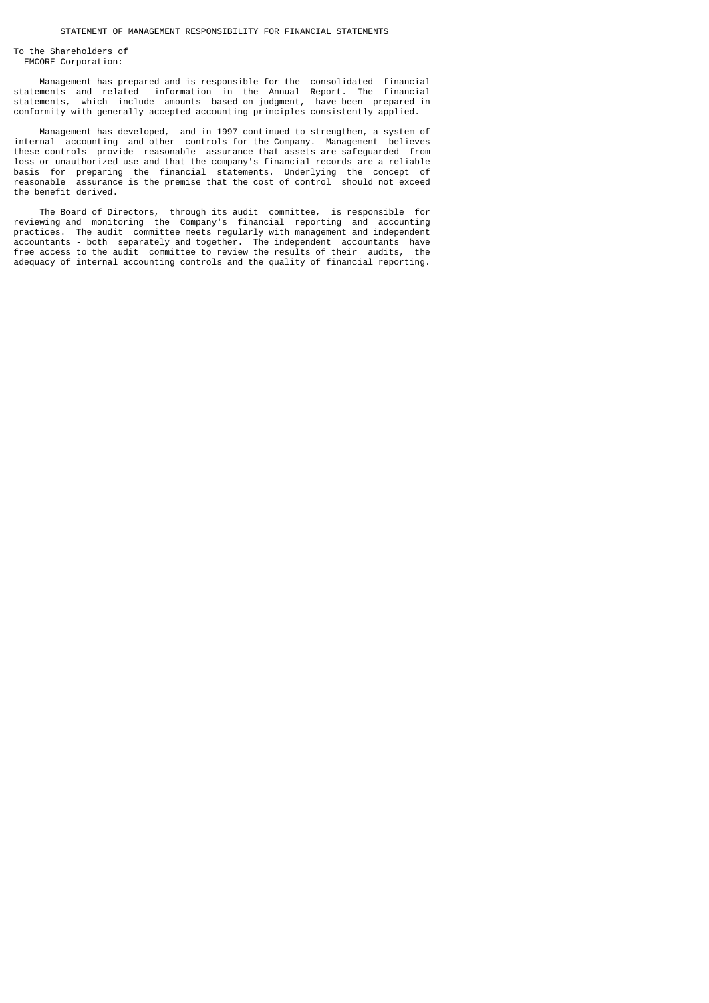To the Shareholders of EMCORE Corporation:

 Management has prepared and is responsible for the consolidated financial statements and related information in the Annual Report. The financial statements, which include amounts based on judgment, have been prepared in conformity with generally accepted accounting principles consistently applied.

 Management has developed, and in 1997 continued to strengthen, a system of internal accounting and other controls for the Company. Management believes these controls provide reasonable assurance that assets are safeguarded from loss or unauthorized use and that the company's financial records are a reliable basis for preparing the financial statements. Underlying the concept of reasonable assurance is the premise that the cost of control should not exceed the benefit derived.

 The Board of Directors, through its audit committee, is responsible for reviewing and monitoring the Company's financial reporting and accounting practices. The audit committee meets regularly with management and independent accountants - both separately and together. The independent accountants have free access to the audit committee to review the results of their audits, the adequacy of internal accounting controls and the quality of financial reporting.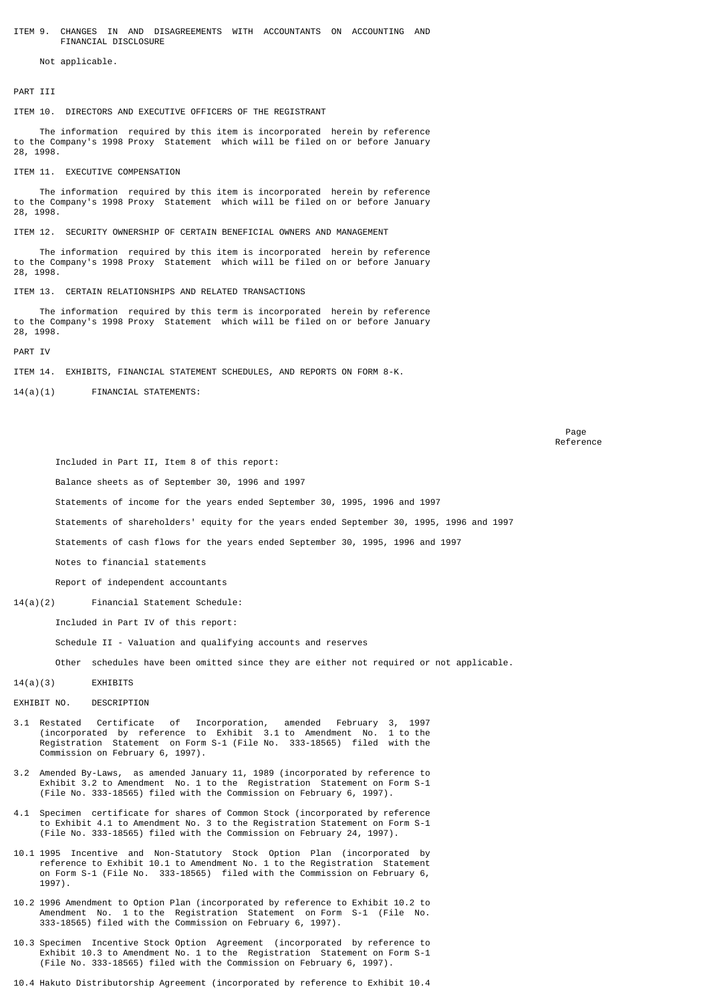ITEM 9. CHANGES IN AND DISAGREEMENTS WITH ACCOUNTANTS ON ACCOUNTING AND FINANCIAL DISCLOSURE

Not applicable.

PART TTT

ITEM 10. DIRECTORS AND EXECUTIVE OFFICERS OF THE REGISTRANT

 The information required by this item is incorporated herein by reference to the Company's 1998 Proxy Statement which will be filed on or before January 28, 1998.

ITEM 11. EXECUTIVE COMPENSATION

 The information required by this item is incorporated herein by reference to the Company's 1998 Proxy Statement which will be filed on or before January 28, 1998.

ITEM 12. SECURITY OWNERSHIP OF CERTAIN BENEFICIAL OWNERS AND MANAGEMENT

 The information required by this item is incorporated herein by reference to the Company's 1998 Proxy Statement which will be filed on or before January 28, 1998.

ITEM 13. CERTAIN RELATIONSHIPS AND RELATED TRANSACTIONS

 The information required by this term is incorporated herein by reference to the Company's 1998 Proxy Statement which will be filed on or before January 28, 1998.

PART IV

ITEM 14. EXHIBITS, FINANCIAL STATEMENT SCHEDULES, AND REPORTS ON FORM 8-K.

14(a)(1) FINANCIAL STATEMENTS:

en de la provincia de la provincia de la provincia de la provincia de la provincia de la provincia de la provi Reference of the contract of the contract of the contract of the contract of the contract of the contract of the contract of the contract of the contract of the contract of the contract of the contract of the contract of t

Included in Part II, Item 8 of this report:

Balance sheets as of September 30, 1996 and 1997

Statements of income for the years ended September 30, 1995, 1996 and 1997

Statements of shareholders' equity for the years ended September 30, 1995, 1996 and 1997

Statements of cash flows for the years ended September 30, 1995, 1996 and 1997

Notes to financial statements

Report of independent accountants

14(a)(2) Financial Statement Schedule:

Included in Part IV of this report:

Schedule II - Valuation and qualifying accounts and reserves

Other schedules have been omitted since they are either not required or not applicable.

14(a)(3) EXHIBITS

#### EXHIBIT NO. DESCRIPTION

- 3.1 Restated Certificate of Incorporation, amended February 3, 1997 (incorporated by reference to Exhibit 3.1 to Amendment No. 1 to the Registration Statement on Form S-1 (File No. 333-18565) filed with the Commission on February 6, 1997).
- 3.2 Amended By-Laws, as amended January 11, 1989 (incorporated by reference to Exhibit 3.2 to Amendment No. 1 to the Registration Statement on Form S-1 (File No. 333-18565) filed with the Commission on February 6, 1997).
- 4.1 Specimen certificate for shares of Common Stock (incorporated by reference to Exhibit 4.1 to Amendment No. 3 to the Registration Statement on Form S-1 (File No. 333-18565) filed with the Commission on February 24, 1997).
- 10.1 1995 Incentive and Non-Statutory Stock Option Plan (incorporated by reference to Exhibit 10.1 to Amendment No. 1 to the Registration Statement on Form S-1 (File No. 333-18565) filed with the Commission on February 6, 1997).
- 10.2 1996 Amendment to Option Plan (incorporated by reference to Exhibit 10.2 to Amendment No. 1 to the Registration Statement on Form S-1 (File No. 333-18565) filed with the Commission on February 6, 1997).
- 10.3 Specimen Incentive Stock Option Agreement (incorporated by reference to Exhibit 10.3 to Amendment No. 1 to the Registration Statement on Form S-1 (File No. 333-18565) filed with the Commission on February 6, 1997).

10.4 Hakuto Distributorship Agreement (incorporated by reference to Exhibit 10.4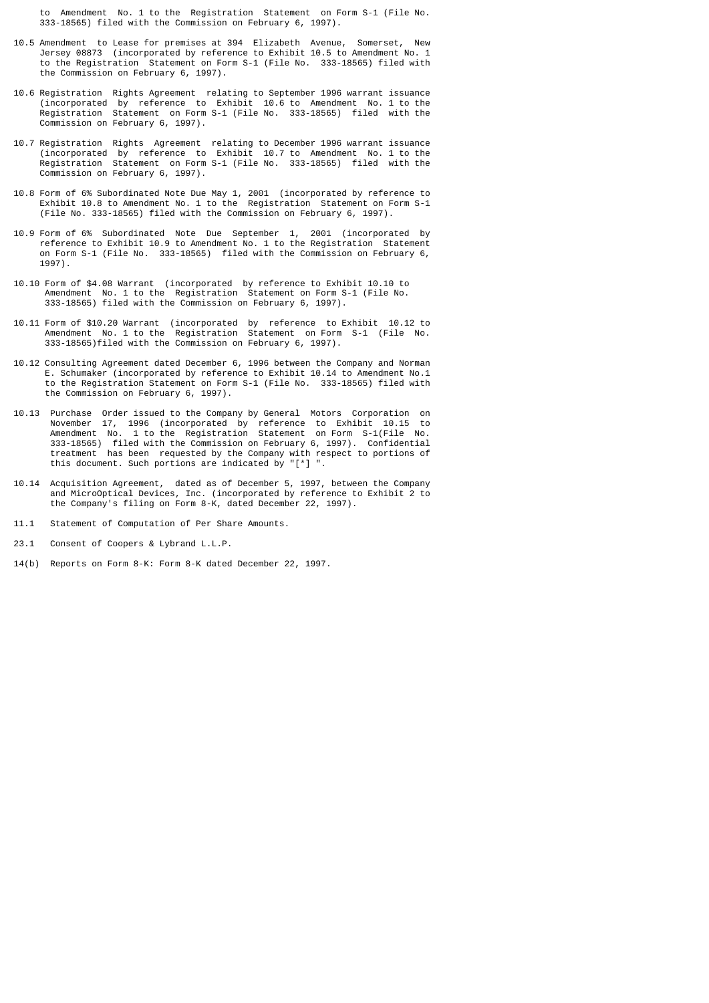to Amendment No. 1 to the Registration Statement on Form S-1 (File No. 333-18565) filed with the Commission on February 6, 1997).

- 10.5 Amendment to Lease for premises at 394 Elizabeth Avenue, Somerset, New Jersey 08873 (incorporated by reference to Exhibit 10.5 to Amendment No. 1 to the Registration Statement on Form S-1 (File No. 333-18565) filed with the Commission on February 6, 1997).
- 10.6 Registration Rights Agreement relating to September 1996 warrant issuance (incorporated by reference to Exhibit 10.6 to Amendment No. 1 to the Registration Statement on Form S-1 (File No. 333-18565) filed with the Commission on February 6, 1997).
- 10.7 Registration Rights Agreement relating to December 1996 warrant issuance (incorporated by reference to Exhibit 10.7 to Amendment No. 1 to the Registration Statement on Form S-1 (File No. 333-18565) filed with the Commission on February 6, 1997).
- 10.8 Form of 6% Subordinated Note Due May 1, 2001 (incorporated by reference to Exhibit 10.8 to Amendment No. 1 to the Registration Statement on Form S-1 (File No. 333-18565) filed with the Commission on February 6, 1997).
- 10.9 Form of 6% Subordinated Note Due September 1, 2001 (incorporated by reference to Exhibit 10.9 to Amendment No. 1 to the Registration Statement on Form S-1 (File No. 333-18565) filed with the Commission on February 6, 1997).
- 10.10 Form of \$4.08 Warrant (incorporated by reference to Exhibit 10.10 to Amendment No. 1 to the Registration Statement on Form S-1 (File No. 333-18565) filed with the Commission on February 6, 1997).
- 10.11 Form of \$10.20 Warrant (incorporated by reference to Exhibit 10.12 to Amendment No. 1 to the Registration Statement on Form S-1 (File No. 333-18565)filed with the Commission on February 6, 1997).
- 10.12 Consulting Agreement dated December 6, 1996 between the Company and Norman E. Schumaker (incorporated by reference to Exhibit 10.14 to Amendment No.1 to the Registration Statement on Form S-1 (File No. 333-18565) filed with the Commission on February 6, 1997).
- 10.13 Purchase Order issued to the Company by General Motors Corporation on November 17, 1996 (incorporated by reference to Exhibit 10.15 to Amendment No. 1 to the Registration Statement on Form S-1(File No. 333-18565) filed with the Commission on February 6, 1997). Confidential treatment has been requested by the Company with respect to portions of this document. Such portions are indicated by "[\*] ".
- 10.14 Acquisition Agreement, dated as of December 5, 1997, between the Company and MicroOptical Devices, Inc. (incorporated by reference to Exhibit 2 to the Company's filing on Form 8-K, dated December 22, 1997).
- 11.1 Statement of Computation of Per Share Amounts.
- 23.1 Consent of Coopers & Lybrand L.L.P.
- 14(b) Reports on Form 8-K: Form 8-K dated December 22, 1997.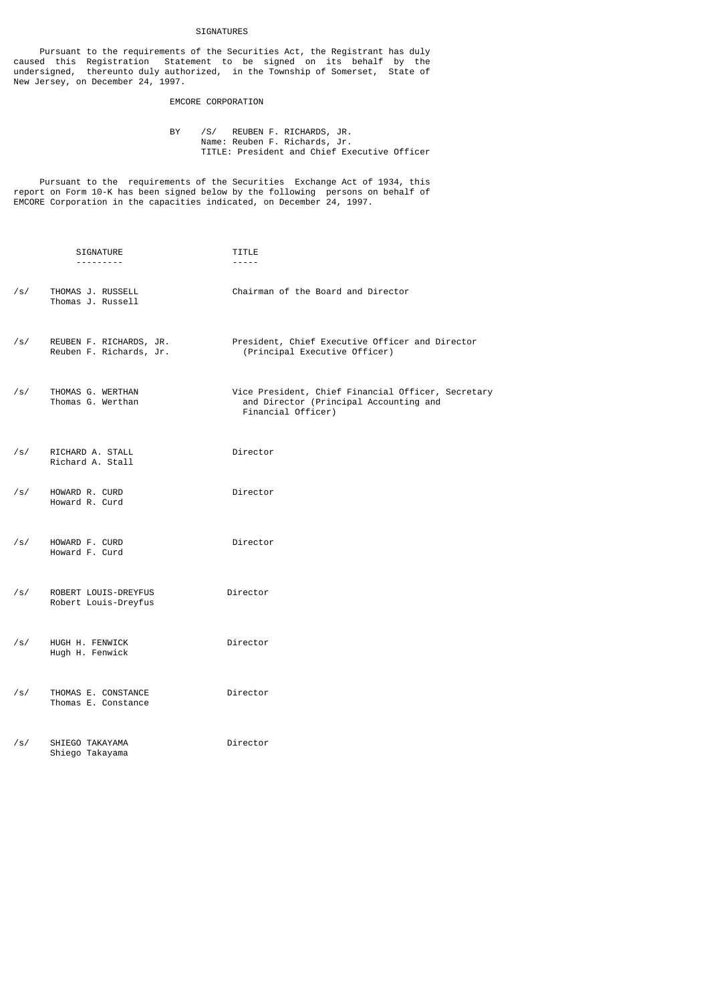## SIGNATURES

 Pursuant to the requirements of the Securities Act, the Registrant has duly caused this Registration Statement to be signed on its behalf by the undersigned, thereunto duly authorized, in the Township of Somerset, State of New Jersey, on December 24, 1997.

# EMCORE CORPORATION

 BY /S/ REUBEN F. RICHARDS, JR. Name: Reuben F. Richards, Jr. TITLE: President and Chief Executive Officer

 Pursuant to the requirements of the Securities Exchange Act of 1934, this report on Form 10-K has been signed below by the following persons on behalf of EMCORE Corporation in the capacities indicated, on December 24, 1997.

|     | SIGNATURE<br>. <b>.</b>                            | TITLE<br>-----                                                                                                     |
|-----|----------------------------------------------------|--------------------------------------------------------------------------------------------------------------------|
| /s/ | THOMAS J. RUSSELL<br>Thomas J. Russell             | Chairman of the Board and Director                                                                                 |
| /s/ | REUBEN F. RICHARDS, JR.<br>Reuben F. Richards, Jr. | President, Chief Executive Officer and Director<br>(Principal Executive Officer)                                   |
| /s/ | THOMAS G. WERTHAN<br>Thomas G. Werthan             | Vice President, Chief Financial Officer, Secretary<br>and Director (Principal Accounting and<br>Financial Officer) |
| /s/ | RICHARD A. STALL<br>Richard A. Stall               | Director                                                                                                           |
| /s/ | HOWARD R. CURD<br>Howard R. Curd                   | Director                                                                                                           |
| /s/ | HOWARD F. CURD<br>Howard F. Curd                   | Director                                                                                                           |
| /s/ | ROBERT LOUIS-DREYFUS<br>Robert Louis-Dreyfus       | Director                                                                                                           |
| /s/ | HUGH H. FENWICK<br>Hugh H. Fenwick                 | Director                                                                                                           |
| /s/ | THOMAS E. CONSTANCE<br>Thomas E. Constance         | Director                                                                                                           |
| /s/ | SHIEGO TAKAYAMA<br>Shiego Takayama                 | Director                                                                                                           |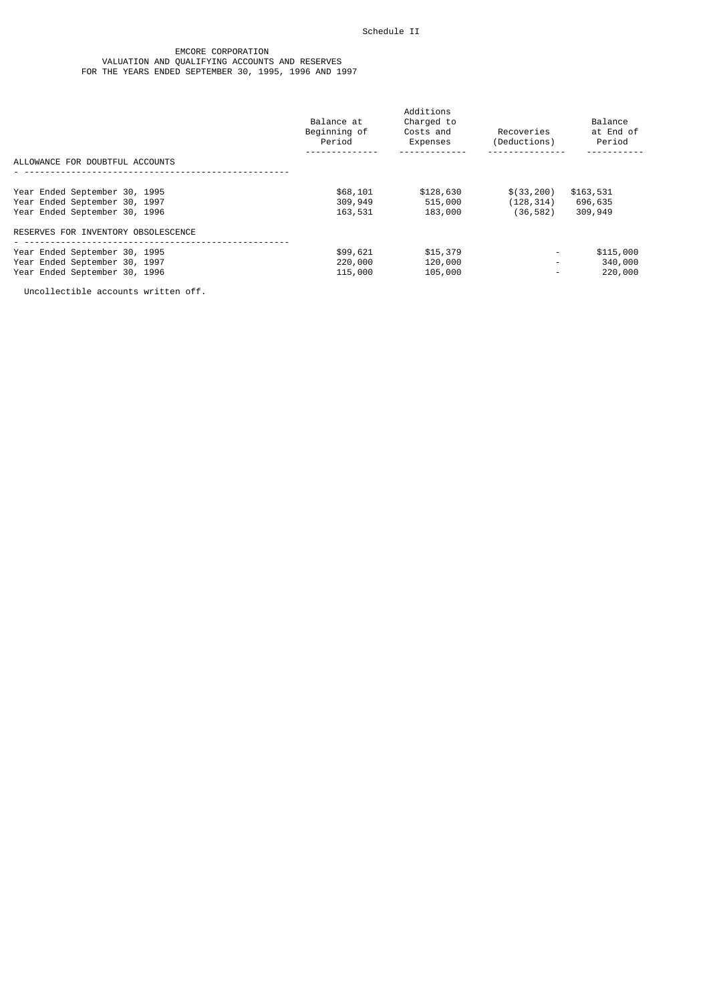#### EMCORE CORPORATION VALUATION AND QUALIFYING ACCOUNTS AND RESERVES FOR THE YEARS ENDED SEPTEMBER 30, 1995, 1996 AND 1997

|                                                                                                 | Balance at<br>Beginning of<br>Period | Additions<br>Charged to<br>Costs and<br>Expenses | Recoveries<br>(Deductions)             | Balance<br>at End of<br>Period  |
|-------------------------------------------------------------------------------------------------|--------------------------------------|--------------------------------------------------|----------------------------------------|---------------------------------|
| ALLOWANCE FOR DOUBTFUL ACCOUNTS                                                                 |                                      |                                                  |                                        |                                 |
| Year Ended September 30, 1995<br>Year Ended September 30, 1997<br>Year Ended September 30, 1996 | \$68,101<br>309,949<br>163,531       | \$128,630<br>515,000<br>183,000                  | \$(33, 200)<br>(128, 314)<br>(36, 582) | \$163,531<br>696,635<br>309,949 |
| RESERVES FOR INVENTORY OBSOLESCENCE                                                             |                                      |                                                  |                                        |                                 |
| Year Ended September 30, 1995<br>Year Ended September 30, 1997<br>Year Ended September 30, 1996 | \$99,621<br>220,000<br>115,000       | \$15,379<br>120,000<br>105,000                   | $\overline{\phantom{a}}$<br>Ξ.<br>۰    | \$115,000<br>340,000<br>220,000 |

Uncollectible accounts written off.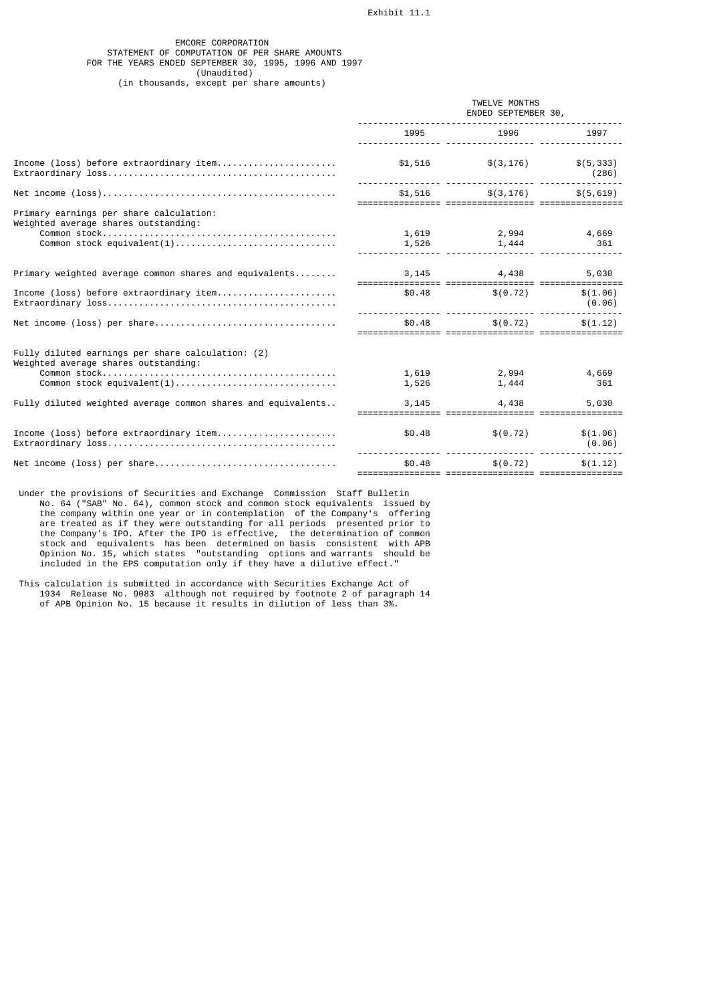## EMCORE CORPORATION STATEMENT OF COMPUTATION OF PER SHARE AMOUNTS FOR THE YEARS ENDED SEPTEMBER 30, 1995, 1996 AND 1997 (Unaudited) (in thousands, except per share amounts)

|                                                                                           | TWELVE MONTHS<br>ENDED SEPTEMBER 30, |                      |                     |
|-------------------------------------------------------------------------------------------|--------------------------------------|----------------------|---------------------|
|                                                                                           | 1995<br><u> </u>                     | 1996                 | 1997                |
| Income (loss) before extraordinary item                                                   | \$1,516                              | \$(3, 176)           | \$(5, 333)<br>(286) |
|                                                                                           | \$1,516                              | $$(3, 176)$ \[5,619) |                     |
| Primary earnings per share calculation:<br>Weighted average shares outstanding:           |                                      |                      |                     |
|                                                                                           | 1,619<br>1,526                       | 2,994<br>1,444       | 4,669<br>361        |
| Primary weighted average common shares and equivalents                                    | 3,145                                | 4,438                | 5,030               |
| Income (loss) before extraordinary item                                                   | \$0.48                               | \$ (0.72)            | \$(1.06)<br>(0.06)  |
|                                                                                           | \$0.48                               | \$ (0.72)            | \$(1.12)            |
| Fully diluted earnings per share calculation: (2)<br>Weighted average shares outstanding: |                                      |                      |                     |
| Common stock equivalent(1)                                                                | 1,619<br>1,526                       | 2,994<br>1,444       | 4,669<br>361        |
| Fully diluted weighted average common shares and equivalents                              | 3,145                                | 4,438                | 5,030               |
| Income (loss) before extraordinary item                                                   | \$0.48                               | \$ (0.72)            | \$(1.06)<br>(0.06)  |
|                                                                                           | \$0.48                               | \$ (0.72)            | \$(1.12)            |
|                                                                                           |                                      |                      |                     |

- Under the provisions of Securities and Exchange Commission Staff Bulletin No. 64 ("SAB" No. 64), common stock and common stock equivalents issued by the company within one year or in contemplation of the Company's offering are treated as if they were outstanding for all periods presented prior to the Company's IPO. After the IPO is effective, the determination of common stock and equivalents has been determined on basis consistent with APB Opinion No. 15, which states "outstanding options and warrants should be included in the EPS computation only if they have a dilutive effect."
- This calculation is submitted in accordance with Securities Exchange Act of 1934 Release No. 9083 although not required by footnote 2 of paragraph 14 of APB Opinion No. 15 because it results in dilution of less than 3%.